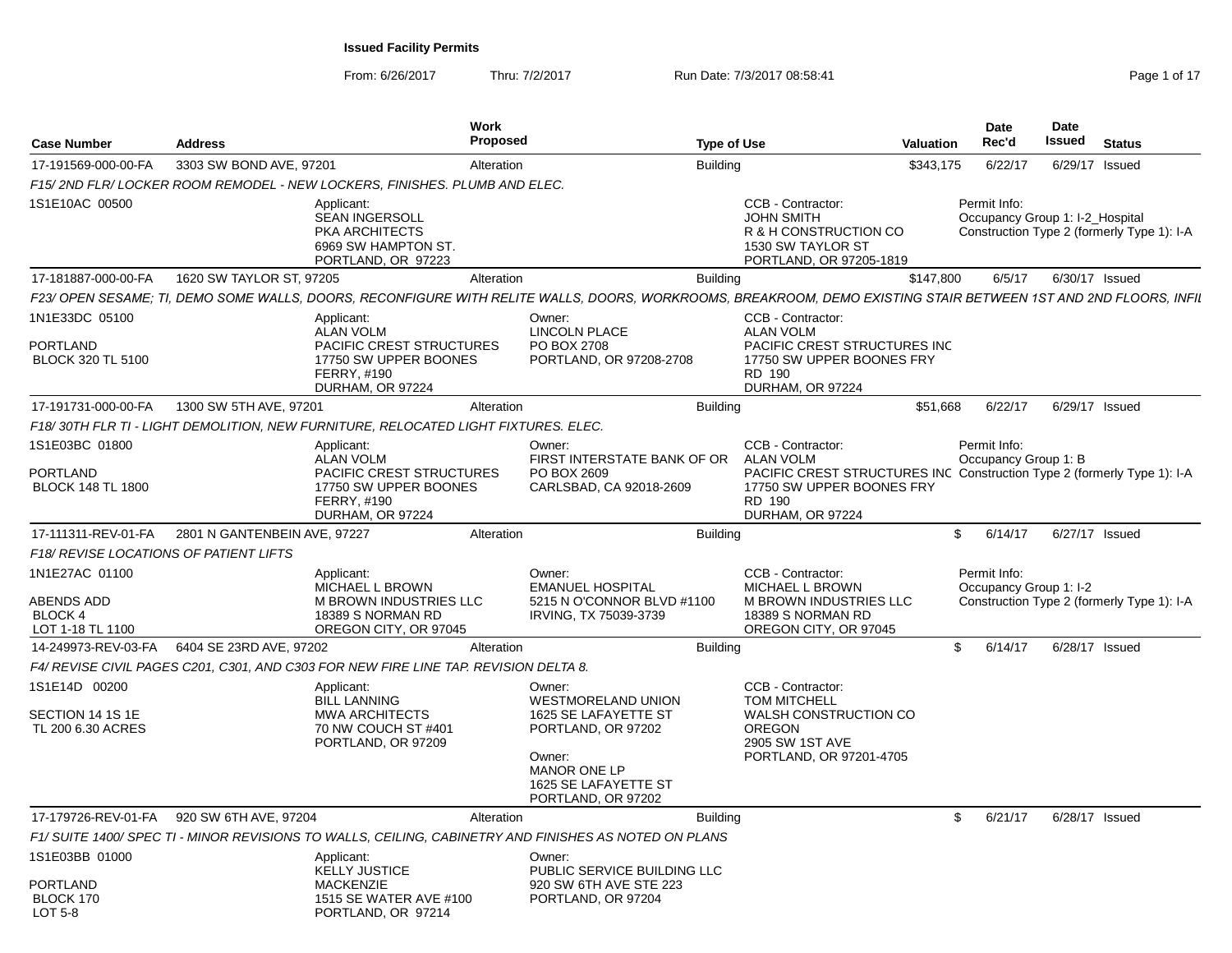From: 6/26/2017Thru: 7/2/2017 **Run Date: 7/3/2017 08:58:41** Page 1 of 17

| <b>Case Number</b>                                                 | <b>Address</b>                                |                                                                                                                 | Work<br><b>Proposed</b> |                                                                                                                                                                 | <b>Type of Use</b> |                                                                                                                                                               | Valuation | Date<br>Rec'd                                   | <b>Date</b><br>Issued | <b>Status</b>                              |
|--------------------------------------------------------------------|-----------------------------------------------|-----------------------------------------------------------------------------------------------------------------|-------------------------|-----------------------------------------------------------------------------------------------------------------------------------------------------------------|--------------------|---------------------------------------------------------------------------------------------------------------------------------------------------------------|-----------|-------------------------------------------------|-----------------------|--------------------------------------------|
| 17-191569-000-00-FA                                                | 3303 SW BOND AVE, 97201                       |                                                                                                                 | Alteration              |                                                                                                                                                                 | <b>Building</b>    |                                                                                                                                                               | \$343,175 | 6/22/17                                         |                       | 6/29/17 Issued                             |
|                                                                    |                                               | F15/2ND FLR/LOCKER ROOM REMODEL - NEW LOCKERS. FINISHES. PLUMB AND ELEC.                                        |                         |                                                                                                                                                                 |                    |                                                                                                                                                               |           |                                                 |                       |                                            |
| 1S1E10AC 00500                                                     |                                               | Applicant:<br><b>SEAN INGERSOLL</b><br>PKA ARCHITECTS<br>6969 SW HAMPTON ST.<br>PORTLAND, OR 97223              |                         |                                                                                                                                                                 |                    | CCB - Contractor:<br><b>JOHN SMITH</b><br>R & H CONSTRUCTION CO<br>1530 SW TAYLOR ST<br>PORTLAND, OR 97205-1819                                               |           | Permit Info:<br>Occupancy Group 1: I-2_Hospital |                       | Construction Type 2 (formerly Type 1): I-A |
| 17-181887-000-00-FA                                                | 1620 SW TAYLOR ST, 97205                      |                                                                                                                 | Alteration              |                                                                                                                                                                 | <b>Building</b>    |                                                                                                                                                               | \$147,800 | 6/5/17                                          |                       | 6/30/17 Issued                             |
|                                                                    |                                               |                                                                                                                 |                         | F23/ OPEN SESAME; TI, DEMO SOME WALLS, DOORS, RECONFIGURE WITH RELITE WALLS, DOORS, WORKROOMS, BREAKROOM, DEMO EXISTING STAIR BETWEEN 1ST AND 2ND FLOORS, INFIL |                    |                                                                                                                                                               |           |                                                 |                       |                                            |
| 1N1E33DC 05100                                                     |                                               | Applicant:<br><b>ALAN VOLM</b>                                                                                  |                         | Owner:<br><b>LINCOLN PLACE</b>                                                                                                                                  |                    | CCB - Contractor<br><b>ALAN VOLM</b>                                                                                                                          |           |                                                 |                       |                                            |
| PORTLAND<br>BLOCK 320 TL 5100                                      |                                               | PACIFIC CREST STRUCTURES<br>17750 SW UPPER BOONES<br><b>FERRY, #190</b><br>DURHAM, OR 97224                     |                         | PO BOX 2708<br>PORTLAND, OR 97208-2708                                                                                                                          |                    | PACIFIC CREST STRUCTURES INC<br>17750 SW UPPER BOONES FRY<br>RD 190<br>DURHAM, OR 97224                                                                       |           |                                                 |                       |                                            |
| 17-191731-000-00-FA                                                | 1300 SW 5TH AVE, 97201                        |                                                                                                                 | Alteration              |                                                                                                                                                                 | Buildina           |                                                                                                                                                               | \$51.668  | 6/22/17                                         |                       | 6/29/17 Issued                             |
|                                                                    |                                               | F18/30TH FLR TI - LIGHT DEMOLITION, NEW FURNITURE, RELOCATED LIGHT FIXTURES. ELEC.                              |                         |                                                                                                                                                                 |                    |                                                                                                                                                               |           |                                                 |                       |                                            |
| 1S1E03BC 01800                                                     |                                               | Applicant:                                                                                                      |                         | Owner:                                                                                                                                                          |                    | CCB - Contractor                                                                                                                                              |           | Permit Info:                                    |                       |                                            |
| PORTLAND<br><b>BLOCK 148 TL 1800</b>                               |                                               | <b>ALAN VOLM</b><br>PACIFIC CREST STRUCTURES<br>17750 SW UPPER BOONES<br><b>FERRY, #190</b><br>DURHAM, OR 97224 |                         | FIRST INTERSTATE BANK OF OR<br>PO BOX 2609<br>CARLSBAD, CA 92018-2609                                                                                           |                    | <b>ALAN VOLM</b><br>PACIFIC CREST STRUCTURES INC Construction Type 2 (formerly Type 1): I-A<br>17750 SW UPPER BOONES FRY<br><b>RD 190</b><br>DURHAM, OR 97224 |           | Occupancy Group 1: B                            |                       |                                            |
| 17-111311-REV-01-FA                                                | 2801 N GANTENBEIN AVE, 97227                  |                                                                                                                 | Alteration              |                                                                                                                                                                 | <b>Building</b>    |                                                                                                                                                               |           | 6/14/17<br>\$                                   |                       | 6/27/17 Issued                             |
| F18/ REVISE LOCATIONS OF PATIENT LIFTS                             |                                               |                                                                                                                 |                         |                                                                                                                                                                 |                    |                                                                                                                                                               |           |                                                 |                       |                                            |
| 1N1E27AC 01100<br><b>ABENDS ADD</b><br>BLOCK 4<br>LOT 1-18 TL 1100 |                                               | Applicant:<br>MICHAEL L BROWN<br><b>M BROWN INDUSTRIES LLC</b><br>18389 S NORMAN RD<br>OREGON CITY, OR 97045    |                         | Owner:<br><b>EMANUEL HOSPITAL</b><br>5215 N O'CONNOR BLVD #1100<br>IRVING, TX 75039-3739                                                                        |                    | CCB - Contractor:<br><b>MICHAEL L BROWN</b><br><b>M BROWN INDUSTRIES LLC</b><br>18389 S NORMAN RD<br>OREGON CITY, OR 97045                                    |           | Permit Info:<br>Occupancy Group 1: I-2          |                       | Construction Type 2 (formerly Type 1): I-A |
|                                                                    | 14-249973-REV-03-FA   6404 SE 23RD AVE, 97202 |                                                                                                                 | Alteration              |                                                                                                                                                                 | <b>Building</b>    |                                                                                                                                                               |           | \$6/14/17                                       |                       | 6/28/17 Issued                             |
|                                                                    |                                               | F4/ REVISE CIVIL PAGES C201, C301, AND C303 FOR NEW FIRE LINE TAP. REVISION DELTA 8.                            |                         |                                                                                                                                                                 |                    |                                                                                                                                                               |           |                                                 |                       |                                            |
| 1S1E14D 00200<br>SECTION 14 1S 1E<br>TL 200 6.30 ACRES             |                                               | Applicant:<br><b>BILL LANNING</b><br><b>MWA ARCHITECTS</b><br>70 NW COUCH ST #401<br>PORTLAND, OR 97209         |                         | Owner:<br><b>WESTMORELAND UNION</b><br>1625 SE LAFAYETTE ST<br>PORTLAND, OR 97202                                                                               |                    | CCB - Contractor:<br><b>TOM MITCHELL</b><br>WALSH CONSTRUCTION CO<br><b>OREGON</b><br>2905 SW 1ST AVE                                                         |           |                                                 |                       |                                            |
|                                                                    |                                               |                                                                                                                 |                         | Owner:<br>MANOR ONE LP<br>1625 SE LAFAYETTE ST<br>PORTLAND, OR 97202                                                                                            |                    | PORTLAND, OR 97201-4705                                                                                                                                       |           |                                                 |                       |                                            |
|                                                                    | 17-179726-REV-01-FA 920 SW 6TH AVE, 97204     |                                                                                                                 | Alteration              |                                                                                                                                                                 | <b>Building</b>    |                                                                                                                                                               |           | 6/21/17<br>\$                                   |                       | 6/28/17 Issued                             |
|                                                                    |                                               |                                                                                                                 |                         | F1/SUITE 1400/SPEC TI - MINOR REVISIONS TO WALLS, CEILING, CABINETRY AND FINISHES AS NOTED ON PLANS                                                             |                    |                                                                                                                                                               |           |                                                 |                       |                                            |
| 1S1E03BB 01000                                                     |                                               | Applicant:<br><b>KELLY JUSTICE</b>                                                                              |                         | Owner:<br>PUBLIC SERVICE BUILDING LLC                                                                                                                           |                    |                                                                                                                                                               |           |                                                 |                       |                                            |
| PORTLAND<br>BLOCK 170<br><b>LOT 5-8</b>                            |                                               | <b>MACKENZIE</b><br>1515 SE WATER AVE #100<br>PORTLAND, OR 97214                                                |                         | 920 SW 6TH AVE STE 223<br>PORTLAND, OR 97204                                                                                                                    |                    |                                                                                                                                                               |           |                                                 |                       |                                            |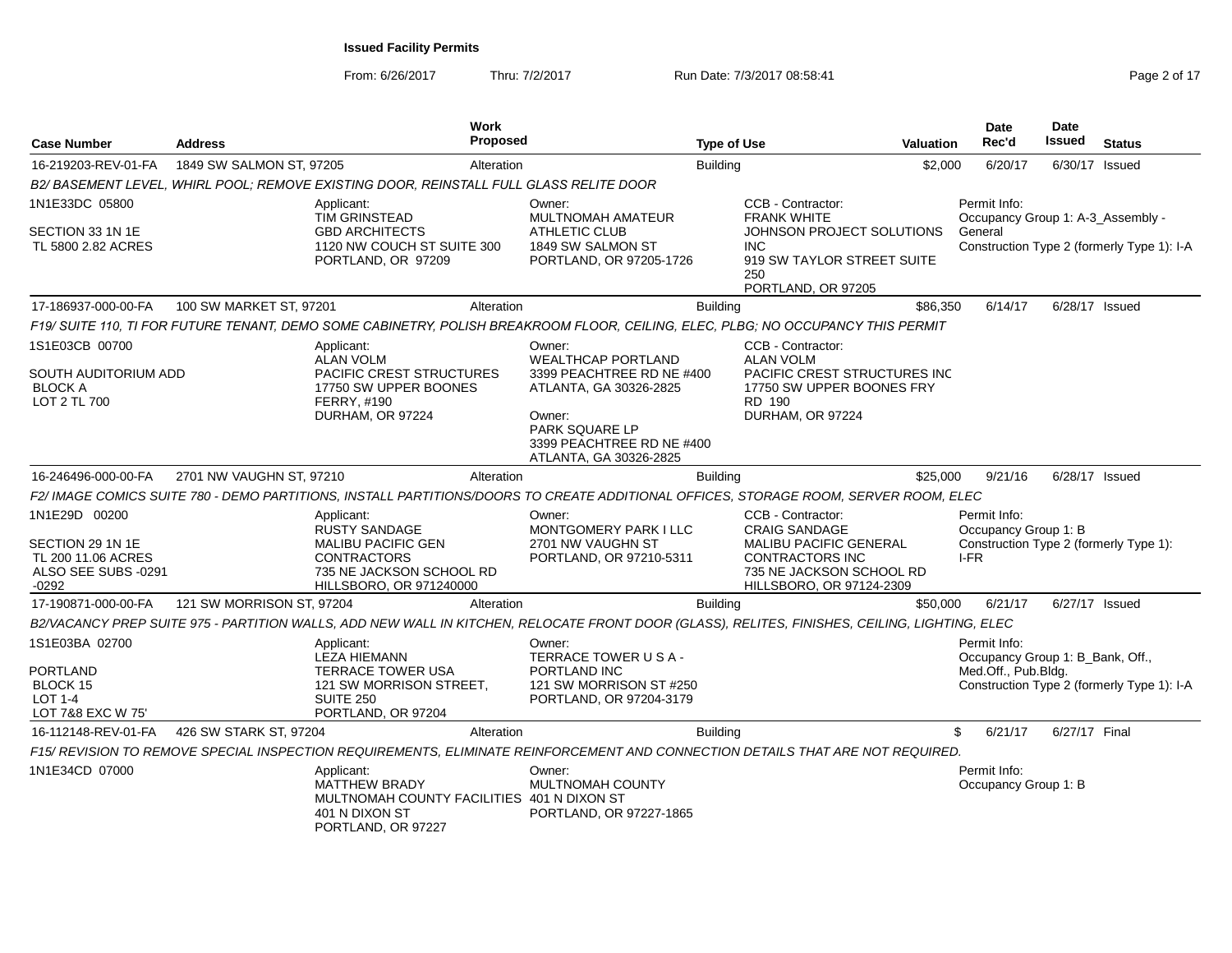From: 6/26/2017Thru: 7/2/2017 **Run Date: 7/3/2017 08:58:41 Page 2 of 17 Page 2 of 17** 

| <b>Case Number</b>                                                                        | <b>Address</b>            |                                                                                                                                       | <b>Work</b><br><b>Proposed</b> |                                                                                                                                                                               | <b>Type of Use</b> |                                                                                                                                                              | <b>Valuation</b> | Date<br>Rec'd                                                                          | Date<br>Issued | <b>Status</b>                              |
|-------------------------------------------------------------------------------------------|---------------------------|---------------------------------------------------------------------------------------------------------------------------------------|--------------------------------|-------------------------------------------------------------------------------------------------------------------------------------------------------------------------------|--------------------|--------------------------------------------------------------------------------------------------------------------------------------------------------------|------------------|----------------------------------------------------------------------------------------|----------------|--------------------------------------------|
| 16-219203-REV-01-FA                                                                       | 1849 SW SALMON ST, 97205  |                                                                                                                                       | Alteration                     |                                                                                                                                                                               | <b>Building</b>    |                                                                                                                                                              | \$2,000          | 6/20/17                                                                                | 6/30/17 Issued |                                            |
|                                                                                           |                           | B2/ BASEMENT LEVEL, WHIRL POOL; REMOVE EXISTING DOOR, REINSTALL FULL GLASS RELITE DOOR                                                |                                |                                                                                                                                                                               |                    |                                                                                                                                                              |                  |                                                                                        |                |                                            |
| 1N1E33DC 05800                                                                            |                           | Applicant:<br><b>TIM GRINSTEAD</b>                                                                                                    |                                | Owner:<br><b>MULTNOMAH AMATEUR</b>                                                                                                                                            |                    | CCB - Contractor:<br><b>FRANK WHITE</b>                                                                                                                      |                  | Permit Info:<br>Occupancy Group 1: A-3 Assembly -                                      |                |                                            |
| SECTION 33 1N 1E<br>TL 5800 2.82 ACRES                                                    |                           | <b>GBD ARCHITECTS</b><br>1120 NW COUCH ST SUITE 300<br>PORTLAND, OR 97209                                                             |                                | <b>ATHLETIC CLUB</b><br>1849 SW SALMON ST<br>PORTLAND, OR 97205-1726                                                                                                          |                    | JOHNSON PROJECT SOLUTIONS<br>INC.<br>919 SW TAYLOR STREET SUITE<br>250<br>PORTLAND, OR 97205                                                                 |                  | General                                                                                |                | Construction Type 2 (formerly Type 1): I-A |
| 17-186937-000-00-FA                                                                       | 100 SW MARKET ST, 97201   |                                                                                                                                       | Alteration                     |                                                                                                                                                                               | <b>Building</b>    |                                                                                                                                                              | \$86,350         | 6/14/17                                                                                | 6/28/17 Issued |                                            |
|                                                                                           |                           |                                                                                                                                       |                                | F19/ SUITE 110, TI FOR FUTURE TENANT, DEMO SOME CABINETRY, POLISH BREAKROOM FLOOR, CEILING, ELEC, PLBG; NO OCCUPANCY THIS PERMIT                                              |                    |                                                                                                                                                              |                  |                                                                                        |                |                                            |
| 1S1E03CB 00700<br>SOUTH AUDITORIUM ADD<br><b>BLOCK A</b><br>LOT 2 TL 700                  |                           | Applicant:<br><b>ALAN VOLM</b><br><b>PACIFIC CREST STRUCTURES</b><br>17750 SW UPPER BOONES<br>FERRY, #190<br>DURHAM, OR 97224         |                                | Owner:<br><b>WEALTHCAP PORTLAND</b><br>3399 PEACHTREE RD NE #400<br>ATLANTA, GA 30326-2825<br>Owner:<br>PARK SQUARE LP<br>3399 PEACHTREE RD NE #400<br>ATLANTA, GA 30326-2825 |                    | CCB - Contractor:<br><b>ALAN VOLM</b><br>PACIFIC CREST STRUCTURES INC<br>17750 SW UPPER BOONES FRY<br>RD 190<br>DURHAM, OR 97224                             |                  |                                                                                        |                |                                            |
| 16-246496-000-00-FA                                                                       | 2701 NW VAUGHN ST, 97210  |                                                                                                                                       | Alteration                     |                                                                                                                                                                               | <b>Building</b>    |                                                                                                                                                              | \$25,000         | 9/21/16                                                                                | 6/28/17 Issued |                                            |
|                                                                                           |                           |                                                                                                                                       |                                | F2/ IMAGE COMICS SUITE 780 - DEMO PARTITIONS, INSTALL PARTITIONS/DOORS TO CREATE ADDITIONAL OFFICES, STORAGE ROOM, SERVER ROOM, ELEC                                          |                    |                                                                                                                                                              |                  |                                                                                        |                |                                            |
| 1N1E29D 00200<br>SECTION 29 1N 1E<br>TL 200 11.06 ACRES<br>ALSO SEE SUBS -0291<br>$-0292$ |                           | Applicant:<br>RUSTY SANDAGE<br><b>MALIBU PACIFIC GEN</b><br><b>CONTRACTORS</b><br>735 NE JACKSON SCHOOL RD<br>HILLSBORO, OR 971240000 |                                | Owner:<br>MONTGOMERY PARK I LLC<br>2701 NW VAUGHN ST<br>PORTLAND, OR 97210-5311                                                                                               |                    | CCB - Contractor:<br><b>CRAIG SANDAGE</b><br><b>MALIBU PACIFIC GENERAL</b><br><b>CONTRACTORS INC</b><br>735 NE JACKSON SCHOOL RD<br>HILLSBORO, OR 97124-2309 |                  | Permit Info:<br>Occupancy Group 1: B<br>Construction Type 2 (formerly Type 1):<br>I-FR |                |                                            |
| 17-190871-000-00-FA                                                                       | 121 SW MORRISON ST, 97204 |                                                                                                                                       | Alteration                     |                                                                                                                                                                               | <b>Building</b>    |                                                                                                                                                              | \$50,000         | 6/21/17                                                                                | 6/27/17 Issued |                                            |
|                                                                                           |                           |                                                                                                                                       |                                | B2/VACANCY PREP SUITE 975 - PARTITION WALLS, ADD NEW WALL IN KITCHEN, RELOCATE FRONT DOOR (GLASS), RELITES, FINISHES, CEILING, LIGHTING, ELEC                                 |                    |                                                                                                                                                              |                  |                                                                                        |                |                                            |
| 1S1E03BA 02700<br>PORTLAND<br>BLOCK 15<br><b>LOT 1-4</b><br>LOT 7&8 EXC W 75'             |                           | Applicant:<br><b>LEZA HIEMANN</b><br><b>TERRACE TOWER USA</b><br>121 SW MORRISON STREET.<br><b>SUITE 250</b><br>PORTLAND, OR 97204    |                                | Owner:<br>TERRACE TOWER USA-<br>PORTLAND INC<br>121 SW MORRISON ST #250<br>PORTLAND, OR 97204-3179                                                                            |                    |                                                                                                                                                              |                  | Permit Info:<br>Occupancy Group 1: B_Bank, Off.,<br>Med.Off., Pub.Bldg.                |                | Construction Type 2 (formerly Type 1): I-A |
| 16-112148-REV-01-FA                                                                       | 426 SW STARK ST, 97204    |                                                                                                                                       | Alteration                     |                                                                                                                                                                               | <b>Building</b>    |                                                                                                                                                              |                  | \$<br>6/21/17                                                                          | 6/27/17 Final  |                                            |
|                                                                                           |                           |                                                                                                                                       |                                | F15/ REVISION TO REMOVE SPECIAL INSPECTION REQUIREMENTS, ELIMINATE REINFORCEMENT AND CONNECTION DETAILS THAT ARE NOT REQUIRED.                                                |                    |                                                                                                                                                              |                  |                                                                                        |                |                                            |
| 1N1E34CD 07000                                                                            |                           | Applicant:<br><b>MATTHEW BRADY</b><br>MULTNOMAH COUNTY FACILITIES 401 N DIXON ST<br>401 N DIXON ST<br>PORTLAND, OR 97227              |                                | Owner:<br><b>MULTNOMAH COUNTY</b><br>PORTLAND, OR 97227-1865                                                                                                                  |                    |                                                                                                                                                              |                  | Permit Info:<br>Occupancy Group 1: B                                                   |                |                                            |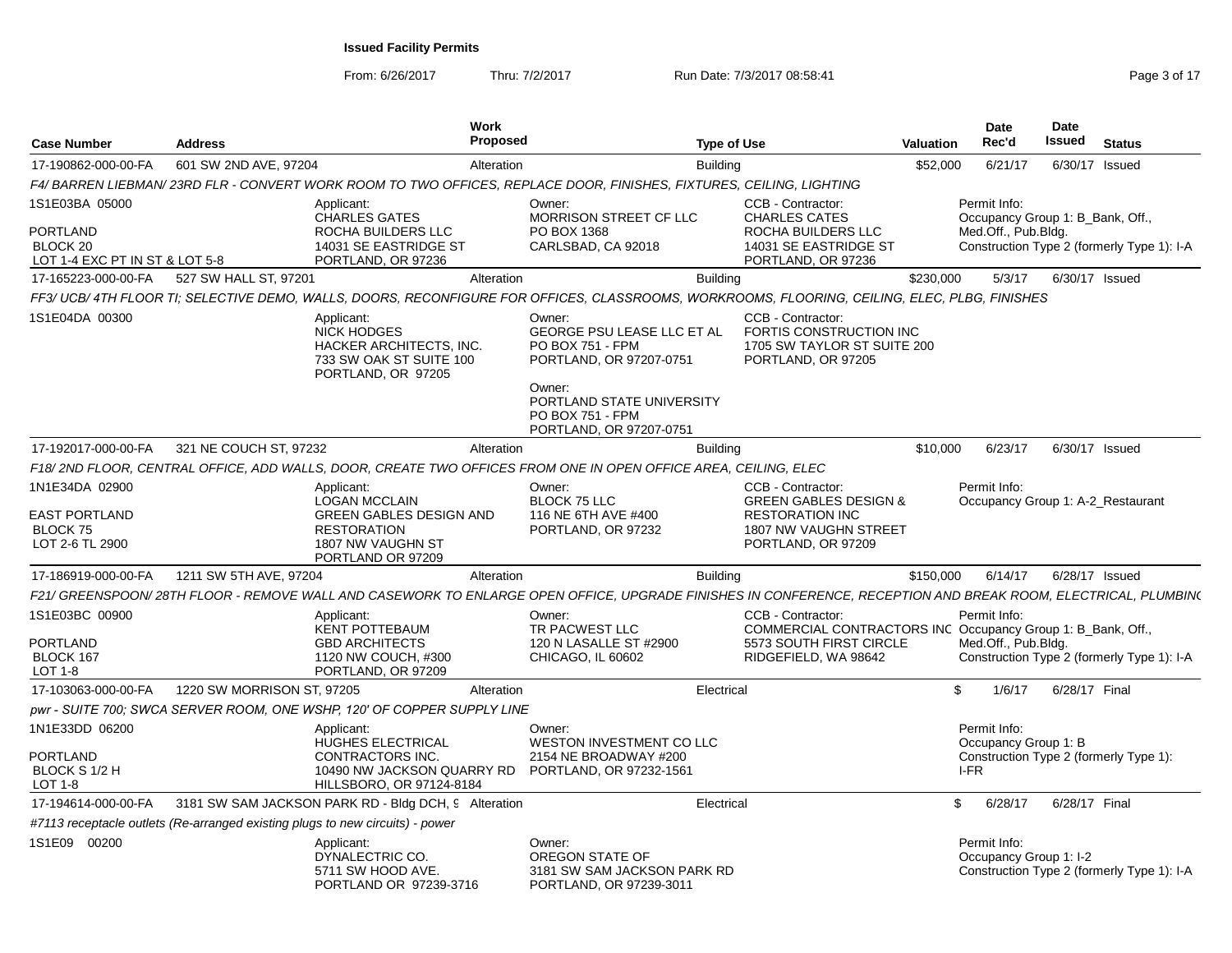From: 6/26/2017

Thru: 7/2/2017 **Run Date: 7/3/2017 08:58:41 Page 3 of 17 Page 3 of 17** 

| <b>Case Number</b>                                                                  | <b>Address</b>             | <b>Work</b>                                                                                                                                                  | Proposed                                                                                                          | <b>Type of Use</b> |                                                                                                                                     | <b>Valuation</b> | <b>Date</b><br>Rec'd                                                    | Date<br>Issued | <b>Status</b>                              |
|-------------------------------------------------------------------------------------|----------------------------|--------------------------------------------------------------------------------------------------------------------------------------------------------------|-------------------------------------------------------------------------------------------------------------------|--------------------|-------------------------------------------------------------------------------------------------------------------------------------|------------------|-------------------------------------------------------------------------|----------------|--------------------------------------------|
| 17-190862-000-00-FA                                                                 | 601 SW 2ND AVE, 97204      |                                                                                                                                                              | Alteration                                                                                                        | <b>Building</b>    |                                                                                                                                     | \$52,000         | 6/21/17                                                                 | 6/30/17 Issued |                                            |
|                                                                                     |                            | F4/ BARREN LIEBMAN/23RD FLR - CONVERT WORK ROOM TO TWO OFFICES, REPLACE DOOR, FINISHES, FIXTURES, CEILING, LIGHTING                                          |                                                                                                                   |                    |                                                                                                                                     |                  |                                                                         |                |                                            |
| 1S1E03BA 05000<br>PORTLAND<br>BLOCK <sub>20</sub><br>LOT 1-4 EXC PT IN ST & LOT 5-8 |                            | Applicant:<br>CHARLES GATES<br>ROCHA BUILDERS LLC<br>14031 SE EASTRIDGE ST<br>PORTLAND, OR 97236                                                             | Owner:<br>MORRISON STREET CF LLC<br>PO BOX 1368<br>CARLSBAD, CA 92018                                             |                    | CCB - Contractor:<br><b>CHARLES CATES</b><br>ROCHA BUILDERS LLC<br>14031 SE EASTRIDGE ST<br>PORTLAND, OR 97236                      |                  | Permit Info:<br>Occupancy Group 1: B_Bank, Off.,<br>Med.Off., Pub.Bldg. |                | Construction Type 2 (formerly Type 1): I-A |
| 17-165223-000-00-FA                                                                 | 527 SW HALL ST, 97201      |                                                                                                                                                              | Alteration                                                                                                        | <b>Building</b>    |                                                                                                                                     | \$230,000        | 5/3/17                                                                  | 6/30/17 Issued |                                            |
|                                                                                     |                            | FF3/ UCB/ 4TH FLOOR TI; SELECTIVE DEMO, WALLS, DOORS, RECONFIGURE FOR OFFICES, CLASSROOMS, WORKROOMS, FLOORING, CEILING, ELEC, PLBG, FINISHES                |                                                                                                                   |                    |                                                                                                                                     |                  |                                                                         |                |                                            |
| 1S1E04DA 00300                                                                      |                            | Applicant:<br><b>NICK HODGES</b><br>HACKER ARCHITECTS, INC.<br>733 SW OAK ST SUITE 100<br>PORTLAND, OR 97205                                                 | Owner:<br><b>GEORGE PSU LEASE LLC ET AL</b><br>PO BOX 751 - FPM<br>PORTLAND, OR 97207-0751                        |                    | CCB - Contractor:<br>FORTIS CONSTRUCTION INC<br>1705 SW TAYLOR ST SUITE 200<br>PORTLAND, OR 97205                                   |                  |                                                                         |                |                                            |
|                                                                                     |                            |                                                                                                                                                              | Owner:<br>PORTLAND STATE UNIVERSITY<br>PO BOX 751 - FPM<br>PORTLAND, OR 97207-0751                                |                    |                                                                                                                                     |                  |                                                                         |                |                                            |
| 17-192017-000-00-FA                                                                 | 321 NE COUCH ST, 97232     |                                                                                                                                                              | Alteration                                                                                                        | <b>Building</b>    |                                                                                                                                     | \$10,000         | 6/23/17                                                                 | 6/30/17 Issued |                                            |
|                                                                                     |                            | F18/2ND FLOOR, CENTRAL OFFICE, ADD WALLS, DOOR, CREATE TWO OFFICES FROM ONE IN OPEN OFFICE AREA, CEILING, ELEC                                               |                                                                                                                   |                    |                                                                                                                                     |                  |                                                                         |                |                                            |
| 1N1E34DA 02900<br>EAST PORTLAND<br><b>BLOCK 75</b><br>LOT 2-6 TL 2900               |                            | Applicant:<br><b>LOGAN MCCLAIN</b><br><b>GREEN GABLES DESIGN AND</b><br><b>RESTORATION</b><br>1807 NW VAUGHN ST<br>PORTLAND OR 97209                         | Owner:<br><b>BLOCK 75 LLC</b><br>116 NE 6TH AVE #400<br>PORTLAND, OR 97232                                        |                    | CCB - Contractor:<br><b>GREEN GABLES DESIGN &amp;</b><br><b>RESTORATION INC</b><br>1807 NW VAUGHN STREET<br>PORTLAND, OR 97209      |                  | Permit Info:<br>Occupancy Group 1: A-2_Restaurant                       |                |                                            |
| 17-186919-000-00-FA                                                                 | 1211 SW 5TH AVE, 97204     |                                                                                                                                                              | Alteration                                                                                                        | <b>Building</b>    |                                                                                                                                     | \$150,000        | 6/14/17                                                                 | 6/28/17 Issued |                                            |
|                                                                                     |                            | F21/ GREENSPOON/28TH FLOOR - REMOVE WALL AND CASEWORK TO ENLARGE OPEN OFFICE, UPGRADE FINISHES IN CONFERENCE, RECEPTION AND BREAK ROOM, ELECTRICAL, PLUMBIN( |                                                                                                                   |                    |                                                                                                                                     |                  |                                                                         |                |                                            |
| 1S1E03BC 00900<br>PORTLAND<br>BLOCK 167<br>$LOT 1-8$                                |                            | Applicant:<br><b>KENT POTTEBAUM</b><br><b>GBD ARCHITECTS</b><br>1120 NW COUCH, #300<br>PORTLAND, OR 97209                                                    | Owner:<br>TR PACWEST LLC<br>120 N LASALLE ST #2900<br>CHICAGO, IL 60602                                           |                    | CCB - Contractor:<br>COMMERCIAL CONTRACTORS INC Occupancy Group 1: B Bank, Off.,<br>5573 SOUTH FIRST CIRCLE<br>RIDGEFIELD, WA 98642 |                  | Permit Info:<br>Med.Off., Pub.Bldg.                                     |                | Construction Type 2 (formerly Type 1): I-A |
| 17-103063-000-00-FA                                                                 | 1220 SW MORRISON ST, 97205 |                                                                                                                                                              | Alteration                                                                                                        | Electrical         |                                                                                                                                     | \$               | 1/6/17                                                                  | 6/28/17 Final  |                                            |
|                                                                                     |                            | pwr - SUITE 700; SWCA SERVER ROOM, ONE WSHP, 120' OF COPPER SUPPLY LINE                                                                                      |                                                                                                                   |                    |                                                                                                                                     |                  |                                                                         |                |                                            |
| 1N1E33DD 06200<br><b>PORTLAND</b><br>BLOCK S 1/2 H<br><b>LOT 1-8</b>                |                            | Applicant:<br>HUGHES ELECTRICAL<br>CONTRACTORS INC.<br>HILLSBORO, OR 97124-8184                                                                              | Owner:<br>WESTON INVESTMENT CO LLC<br>2154 NE BROADWAY #200<br>10490 NW JACKSON QUARRY RD PORTLAND, OR 97232-1561 |                    |                                                                                                                                     |                  | Permit Info:<br>Occupancy Group 1: B<br>I-FR                            |                | Construction Type 2 (formerly Type 1):     |
| 17-194614-000-00-FA                                                                 |                            | 3181 SW SAM JACKSON PARK RD - Bldg DCH, 9 Alteration                                                                                                         |                                                                                                                   | Electrical         |                                                                                                                                     | \$               | 6/28/17                                                                 | 6/28/17 Final  |                                            |
|                                                                                     |                            | #7113 receptacle outlets (Re-arranged existing plugs to new circuits) - power                                                                                |                                                                                                                   |                    |                                                                                                                                     |                  |                                                                         |                |                                            |
| 1S1E09 00200                                                                        |                            | Applicant:<br>DYNALECTRIC CO.<br>5711 SW HOOD AVE.<br>PORTLAND OR 97239-3716                                                                                 | Owner:<br>OREGON STATE OF<br>3181 SW SAM JACKSON PARK RD<br>PORTLAND, OR 97239-3011                               |                    |                                                                                                                                     |                  | Permit Info:<br>Occupancy Group 1: I-2                                  |                | Construction Type 2 (formerly Type 1): I-A |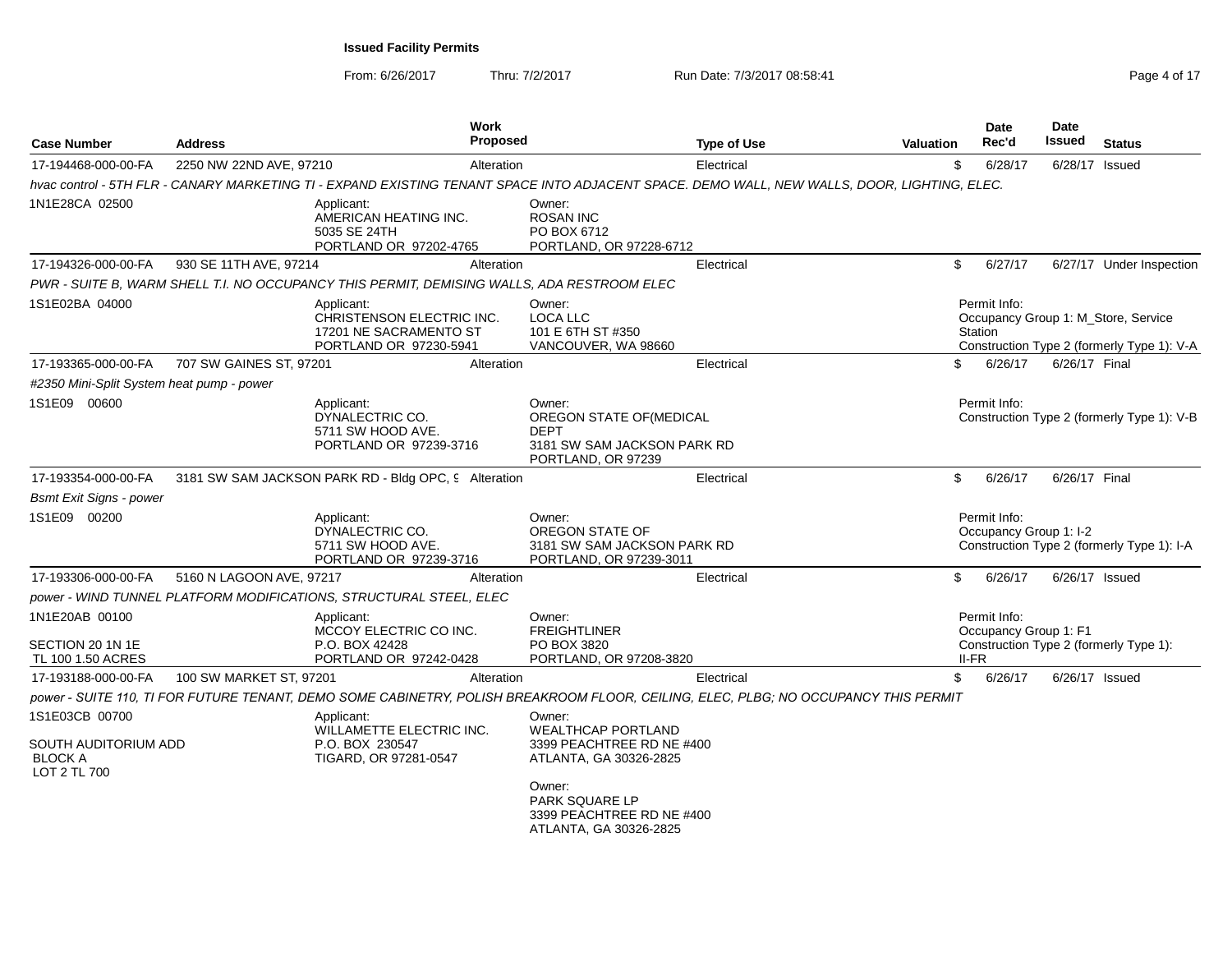From: 6/26/2017

Thru: 7/2/2017 **Run Date: 7/3/2017 08:58:41** Page 4 of 17

| <b>Address</b>                            | <b>Work</b> |                                                                                                                                                                                                                                                                                                                                                                                                                                                                                                                                                                                                                                                                                                                                     |                                                                                                                                                                                                                                                                       | Date<br>Rec'd                                                                                                                                                        | Date<br>Issued                                                                                                                                                                                                                                                                                                                                                                                                                  | <b>Status</b>                                                                                                                                                                                                                                                              |
|-------------------------------------------|-------------|-------------------------------------------------------------------------------------------------------------------------------------------------------------------------------------------------------------------------------------------------------------------------------------------------------------------------------------------------------------------------------------------------------------------------------------------------------------------------------------------------------------------------------------------------------------------------------------------------------------------------------------------------------------------------------------------------------------------------------------|-----------------------------------------------------------------------------------------------------------------------------------------------------------------------------------------------------------------------------------------------------------------------|----------------------------------------------------------------------------------------------------------------------------------------------------------------------|---------------------------------------------------------------------------------------------------------------------------------------------------------------------------------------------------------------------------------------------------------------------------------------------------------------------------------------------------------------------------------------------------------------------------------|----------------------------------------------------------------------------------------------------------------------------------------------------------------------------------------------------------------------------------------------------------------------------|
|                                           |             |                                                                                                                                                                                                                                                                                                                                                                                                                                                                                                                                                                                                                                                                                                                                     |                                                                                                                                                                                                                                                                       | 6/28/17                                                                                                                                                              | 6/28/17 Issued                                                                                                                                                                                                                                                                                                                                                                                                                  |                                                                                                                                                                                                                                                                            |
|                                           |             |                                                                                                                                                                                                                                                                                                                                                                                                                                                                                                                                                                                                                                                                                                                                     |                                                                                                                                                                                                                                                                       |                                                                                                                                                                      |                                                                                                                                                                                                                                                                                                                                                                                                                                 |                                                                                                                                                                                                                                                                            |
|                                           |             | Owner:<br><b>ROSAN INC</b><br>PO BOX 6712<br>PORTLAND, OR 97228-6712                                                                                                                                                                                                                                                                                                                                                                                                                                                                                                                                                                                                                                                                |                                                                                                                                                                                                                                                                       |                                                                                                                                                                      |                                                                                                                                                                                                                                                                                                                                                                                                                                 |                                                                                                                                                                                                                                                                            |
|                                           |             |                                                                                                                                                                                                                                                                                                                                                                                                                                                                                                                                                                                                                                                                                                                                     |                                                                                                                                                                                                                                                                       | 6/27/17                                                                                                                                                              |                                                                                                                                                                                                                                                                                                                                                                                                                                 | 6/27/17 Under Inspection                                                                                                                                                                                                                                                   |
|                                           |             |                                                                                                                                                                                                                                                                                                                                                                                                                                                                                                                                                                                                                                                                                                                                     |                                                                                                                                                                                                                                                                       |                                                                                                                                                                      |                                                                                                                                                                                                                                                                                                                                                                                                                                 |                                                                                                                                                                                                                                                                            |
|                                           |             | Owner:<br><b>LOCA LLC</b><br>101 E 6TH ST #350<br>VANCOUVER, WA 98660                                                                                                                                                                                                                                                                                                                                                                                                                                                                                                                                                                                                                                                               |                                                                                                                                                                                                                                                                       |                                                                                                                                                                      |                                                                                                                                                                                                                                                                                                                                                                                                                                 |                                                                                                                                                                                                                                                                            |
|                                           |             |                                                                                                                                                                                                                                                                                                                                                                                                                                                                                                                                                                                                                                                                                                                                     |                                                                                                                                                                                                                                                                       | 6/26/17                                                                                                                                                              | 6/26/17 Final                                                                                                                                                                                                                                                                                                                                                                                                                   |                                                                                                                                                                                                                                                                            |
| #2350 Mini-Split System heat pump - power |             |                                                                                                                                                                                                                                                                                                                                                                                                                                                                                                                                                                                                                                                                                                                                     |                                                                                                                                                                                                                                                                       |                                                                                                                                                                      |                                                                                                                                                                                                                                                                                                                                                                                                                                 |                                                                                                                                                                                                                                                                            |
|                                           |             | Owner:<br>OREGON STATE OF(MEDICAL<br><b>DEPT</b><br>PORTLAND, OR 97239                                                                                                                                                                                                                                                                                                                                                                                                                                                                                                                                                                                                                                                              |                                                                                                                                                                                                                                                                       |                                                                                                                                                                      |                                                                                                                                                                                                                                                                                                                                                                                                                                 |                                                                                                                                                                                                                                                                            |
|                                           |             |                                                                                                                                                                                                                                                                                                                                                                                                                                                                                                                                                                                                                                                                                                                                     |                                                                                                                                                                                                                                                                       | 6/26/17                                                                                                                                                              | 6/26/17 Final                                                                                                                                                                                                                                                                                                                                                                                                                   |                                                                                                                                                                                                                                                                            |
|                                           |             |                                                                                                                                                                                                                                                                                                                                                                                                                                                                                                                                                                                                                                                                                                                                     |                                                                                                                                                                                                                                                                       |                                                                                                                                                                      |                                                                                                                                                                                                                                                                                                                                                                                                                                 |                                                                                                                                                                                                                                                                            |
|                                           |             | Owner:<br>OREGON STATE OF<br>PORTLAND, OR 97239-3011                                                                                                                                                                                                                                                                                                                                                                                                                                                                                                                                                                                                                                                                                |                                                                                                                                                                                                                                                                       |                                                                                                                                                                      |                                                                                                                                                                                                                                                                                                                                                                                                                                 |                                                                                                                                                                                                                                                                            |
|                                           |             |                                                                                                                                                                                                                                                                                                                                                                                                                                                                                                                                                                                                                                                                                                                                     |                                                                                                                                                                                                                                                                       | 6/26/17                                                                                                                                                              | 6/26/17 Issued                                                                                                                                                                                                                                                                                                                                                                                                                  |                                                                                                                                                                                                                                                                            |
|                                           |             |                                                                                                                                                                                                                                                                                                                                                                                                                                                                                                                                                                                                                                                                                                                                     |                                                                                                                                                                                                                                                                       |                                                                                                                                                                      |                                                                                                                                                                                                                                                                                                                                                                                                                                 |                                                                                                                                                                                                                                                                            |
|                                           |             | Owner:<br><b>FREIGHTLINER</b><br>PO BOX 3820<br>PORTLAND, OR 97208-3820                                                                                                                                                                                                                                                                                                                                                                                                                                                                                                                                                                                                                                                             |                                                                                                                                                                                                                                                                       |                                                                                                                                                                      |                                                                                                                                                                                                                                                                                                                                                                                                                                 |                                                                                                                                                                                                                                                                            |
|                                           |             |                                                                                                                                                                                                                                                                                                                                                                                                                                                                                                                                                                                                                                                                                                                                     |                                                                                                                                                                                                                                                                       | 6/26/17                                                                                                                                                              | 6/26/17 Issued                                                                                                                                                                                                                                                                                                                                                                                                                  |                                                                                                                                                                                                                                                                            |
|                                           |             |                                                                                                                                                                                                                                                                                                                                                                                                                                                                                                                                                                                                                                                                                                                                     |                                                                                                                                                                                                                                                                       |                                                                                                                                                                      |                                                                                                                                                                                                                                                                                                                                                                                                                                 |                                                                                                                                                                                                                                                                            |
| SOUTH AUDITORIUM ADD                      |             | Owner:<br><b>WEALTHCAP PORTLAND</b><br>3399 PEACHTREE RD NE #400<br>ATLANTA, GA 30326-2825<br>Owner:<br>PARK SQUARE LP<br>3399 PEACHTREE RD NE #400                                                                                                                                                                                                                                                                                                                                                                                                                                                                                                                                                                                 |                                                                                                                                                                                                                                                                       |                                                                                                                                                                      |                                                                                                                                                                                                                                                                                                                                                                                                                                 |                                                                                                                                                                                                                                                                            |
|                                           |             | 2250 NW 22ND AVE, 97210<br>Applicant:<br>AMERICAN HEATING INC.<br>5035 SE 24TH<br>PORTLAND OR 97202-4765<br>930 SE 11TH AVE, 97214<br>Applicant:<br>CHRISTENSON ELECTRIC INC.<br>17201 NE SACRAMENTO ST<br>PORTLAND OR 97230-5941<br>707 SW GAINES ST, 97201<br>Applicant:<br>DYNALECTRIC CO.<br>5711 SW HOOD AVE.<br>PORTLAND OR 97239-3716<br>Applicant:<br>DYNALECTRIC CO.<br>5711 SW HOOD AVE.<br>PORTLAND OR 97239-3716<br>5160 N LAGOON AVE, 97217<br>power - WIND TUNNEL PLATFORM MODIFICATIONS, STRUCTURAL STEEL, ELEC<br>Applicant:<br>MCCOY ELECTRIC CO INC.<br>P.O. BOX 42428<br>PORTLAND OR 97242-0428<br>100 SW MARKET ST, 97201<br>Applicant:<br>WILLAMETTE ELECTRIC INC.<br>P.O. BOX 230547<br>TIGARD, OR 97281-0547 | <b>Proposed</b><br>Alteration<br>Alteration<br>PWR - SUITE B, WARM SHELL T.I. NO OCCUPANCY THIS PERMIT, DEMISING WALLS, ADA RESTROOM ELEC<br>Alteration<br>3181 SW SAM JACKSON PARK RD - Bldg OPC, 9 Alteration<br>Alteration<br>Alteration<br>ATLANTA, GA 30326-2825 | <b>Type of Use</b><br>Electrical<br>Electrical<br>Electrical<br>3181 SW SAM JACKSON PARK RD<br>Electrical<br>3181 SW SAM JACKSON PARK RD<br>Electrical<br>Electrical | <b>Valuation</b><br>\$<br>hvac control - 5TH FLR - CANARY MARKETING TI - EXPAND EXISTING TENANT SPACE INTO ADJACENT SPACE. DEMO WALL, NEW WALLS, DOOR, LIGHTING, ELEC.<br>\$<br>Permit Info:<br>Station<br>\$<br>Permit Info:<br>\$<br>Permit Info:<br>\$<br>Permit Info:<br>II-FR<br>\$<br>power - SUITE 110, TI FOR FUTURE TENANT, DEMO SOME CABINETRY, POLISH BREAKROOM FLOOR, CEILING, ELEC, PLBG; NO OCCUPANCY THIS PERMIT | Occupancy Group 1: M Store, Service<br>Construction Type 2 (formerly Type 1): V-A<br>Construction Type 2 (formerly Type 1): V-B<br>Occupancy Group 1: I-2<br>Construction Type 2 (formerly Type 1): I-A<br>Occupancy Group 1: F1<br>Construction Type 2 (formerly Type 1): |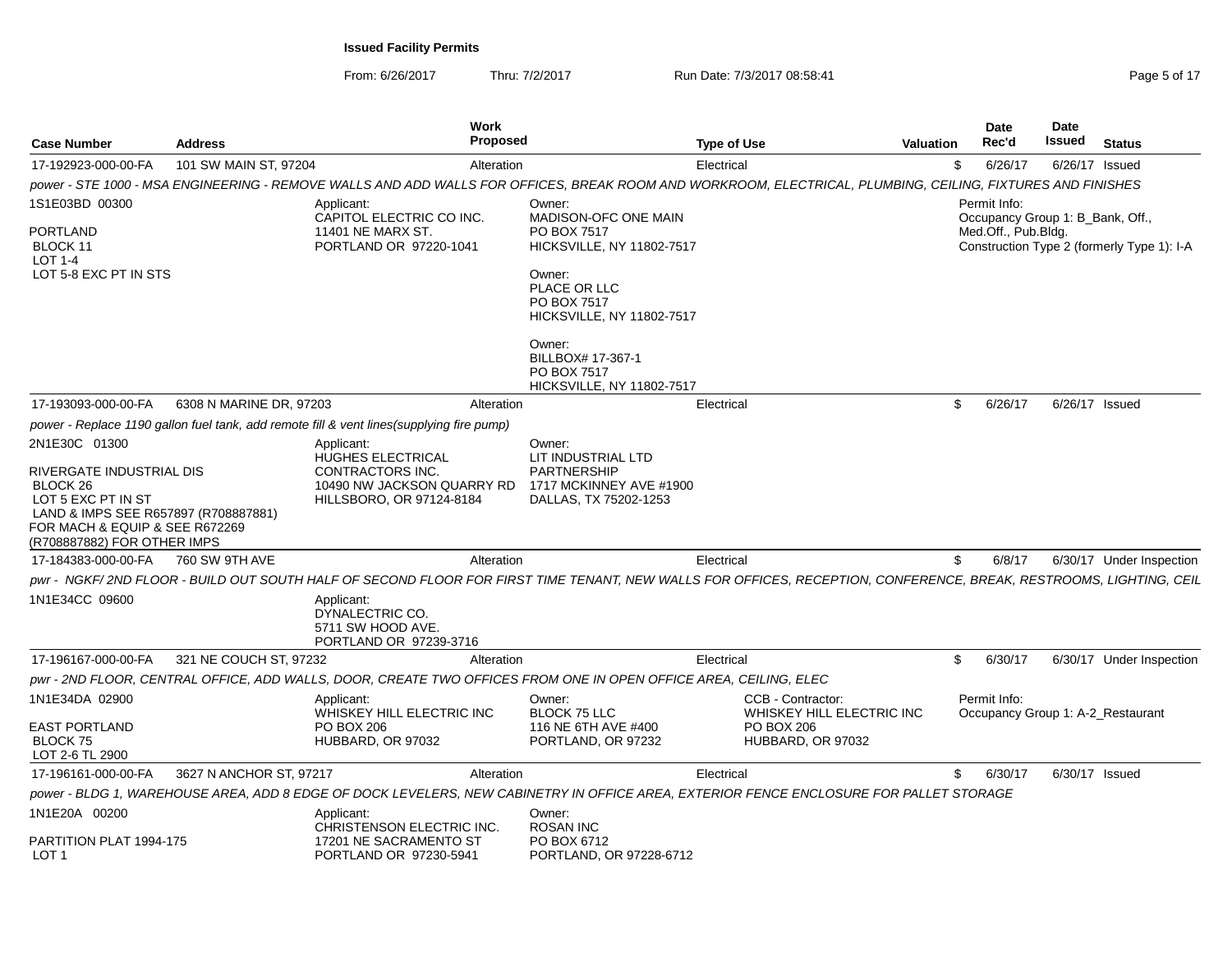From: 6/26/2017

Thru: 7/2/2017 **Run Date: 7/3/2017 08:58:41 Page 5 of 17 Page 5 of 17** 

| <b>Case Number</b>                                                                                                                                                             | <b>Address</b>          | <b>Work</b><br><b>Proposed</b>                                                                                                                                    |                                                                                                                     | <b>Type of Use</b>                             | Valuation | Date<br>Rec'd                                    | <b>Date</b><br>Issued | <b>Status</b>                              |
|--------------------------------------------------------------------------------------------------------------------------------------------------------------------------------|-------------------------|-------------------------------------------------------------------------------------------------------------------------------------------------------------------|---------------------------------------------------------------------------------------------------------------------|------------------------------------------------|-----------|--------------------------------------------------|-----------------------|--------------------------------------------|
| 17-192923-000-00-FA                                                                                                                                                            | 101 SW MAIN ST, 97204   | Alteration                                                                                                                                                        |                                                                                                                     | Electrical                                     | \$        | 6/26/17                                          |                       | 6/26/17 Issued                             |
|                                                                                                                                                                                |                         | power - STE 1000 - MSA ENGINEERING - REMOVE WALLS AND ADD WALLS FOR OFFICES, BREAK ROOM AND WORKROOM, ELECTRICAL, PLUMBING, CEILING, FIXTURES AND FINISHES        |                                                                                                                     |                                                |           |                                                  |                       |                                            |
| 1S1E03BD 00300                                                                                                                                                                 |                         | Applicant:<br>CAPITOL ELECTRIC CO INC.                                                                                                                            | Owner:<br>MADISON-OFC ONE MAIN                                                                                      |                                                |           | Permit Info:<br>Occupancy Group 1: B_Bank, Off., |                       |                                            |
| PORTLAND<br>BLOCK 11<br>LOT $1-4$<br>LOT 5-8 EXC PT IN STS                                                                                                                     |                         | 11401 NE MARX ST.<br>PORTLAND OR 97220-1041                                                                                                                       | PO BOX 7517<br>HICKSVILLE, NY 11802-7517<br>Owner:<br>PLACE OR LLC                                                  |                                                |           | Med.Off., Pub.Bldg.                              |                       | Construction Type 2 (formerly Type 1): I-A |
|                                                                                                                                                                                |                         |                                                                                                                                                                   | PO BOX 7517<br>HICKSVILLE, NY 11802-7517<br>Owner:<br>BILLBOX# 17-367-1<br>PO BOX 7517<br>HICKSVILLE, NY 11802-7517 |                                                |           |                                                  |                       |                                            |
| 17-193093-000-00-FA                                                                                                                                                            | 6308 N MARINE DR. 97203 | Alteration                                                                                                                                                        |                                                                                                                     | Electrical                                     | \$        | 6/26/17                                          |                       | 6/26/17 Issued                             |
|                                                                                                                                                                                |                         | power - Replace 1190 gallon fuel tank, add remote fill & vent lines(supplying fire pump)                                                                          |                                                                                                                     |                                                |           |                                                  |                       |                                            |
| 2N1E30C 01300                                                                                                                                                                  |                         | Applicant:<br><b>HUGHES ELECTRICAL</b>                                                                                                                            | Owner:<br>LIT INDUSTRIAL LTD                                                                                        |                                                |           |                                                  |                       |                                            |
| RIVERGATE INDUSTRIAL DIS<br>BLOCK <sub>26</sub><br>LOT 5 EXC PT IN ST<br>LAND & IMPS SEE R657897 (R708887881)<br>FOR MACH & EQUIP & SEE R672269<br>(R708887882) FOR OTHER IMPS |                         | CONTRACTORS INC.<br>10490 NW JACKSON QUARRY RD<br>HILLSBORO, OR 97124-8184                                                                                        | PARTNERSHIP<br>1717 MCKINNEY AVE #1900<br>DALLAS, TX 75202-1253                                                     |                                                |           |                                                  |                       |                                            |
| 17-184383-000-00-FA                                                                                                                                                            | 760 SW 9TH AVE          | Alteration                                                                                                                                                        |                                                                                                                     | Electrical                                     | \$        | 6/8/17                                           |                       | 6/30/17 Under Inspection                   |
|                                                                                                                                                                                |                         | pwr - NGKF/2ND FLOOR - BUILD OUT SOUTH HALF OF SECOND FLOOR FOR FIRST TIME TENANT, NEW WALLS FOR OFFICES, RECEPTION, CONFERENCE, BREAK, RESTROOMS, LIGHTING, CEIL |                                                                                                                     |                                                |           |                                                  |                       |                                            |
| 1N1E34CC 09600                                                                                                                                                                 |                         | Applicant:<br>DYNALECTRIC CO.<br>5711 SW HOOD AVE.<br>PORTLAND OR 97239-3716                                                                                      |                                                                                                                     |                                                |           |                                                  |                       |                                            |
| 17-196167-000-00-FA                                                                                                                                                            | 321 NE COUCH ST, 97232  | Alteration                                                                                                                                                        |                                                                                                                     | Electrical                                     | \$        | 6/30/17                                          |                       | 6/30/17 Under Inspection                   |
|                                                                                                                                                                                |                         | pwr - 2ND FLOOR, CENTRAL OFFICE, ADD WALLS, DOOR, CREATE TWO OFFICES FROM ONE IN OPEN OFFICE AREA, CEILING, ELEC                                                  |                                                                                                                     |                                                |           |                                                  |                       |                                            |
| 1N1E34DA 02900                                                                                                                                                                 |                         | Applicant:<br>WHISKEY HILL ELECTRIC INC                                                                                                                           | Owner:<br><b>BLOCK 75 LLC</b>                                                                                       | CCB - Contractor:<br>WHISKEY HILL ELECTRIC INC |           | Permit Info:                                     |                       | Occupancy Group 1: A-2_Restaurant          |
| <b>EAST PORTLAND</b><br><b>BLOCK 75</b><br>LOT 2-6 TL 2900                                                                                                                     |                         | <b>PO BOX 206</b><br>HUBBARD, OR 97032                                                                                                                            | 116 NE 6TH AVE #400<br>PORTLAND, OR 97232                                                                           | PO BOX 206<br>HUBBARD, OR 97032                |           |                                                  |                       |                                            |
| 17-196161-000-00-FA                                                                                                                                                            | 3627 N ANCHOR ST, 97217 | Alteration                                                                                                                                                        |                                                                                                                     | Electrical                                     | \$        | 6/30/17                                          |                       | 6/30/17 Issued                             |
|                                                                                                                                                                                |                         | power - BLDG 1, WAREHOUSE AREA, ADD 8 EDGE OF DOCK LEVELERS, NEW CABINETRY IN OFFICE AREA, EXTERIOR FENCE ENCLOSURE FOR PALLET STORAGE                            |                                                                                                                     |                                                |           |                                                  |                       |                                            |
| 1N1E20A 00200<br>PARTITION PLAT 1994-175                                                                                                                                       |                         | Applicant:<br>CHRISTENSON ELECTRIC INC.<br>17201 NE SACRAMENTO ST                                                                                                 | Owner:<br>ROSAN INC<br>PO BOX 6712                                                                                  |                                                |           |                                                  |                       |                                            |
| LOT <sub>1</sub>                                                                                                                                                               |                         | PORTLAND OR 97230-5941                                                                                                                                            | PORTLAND, OR 97228-6712                                                                                             |                                                |           |                                                  |                       |                                            |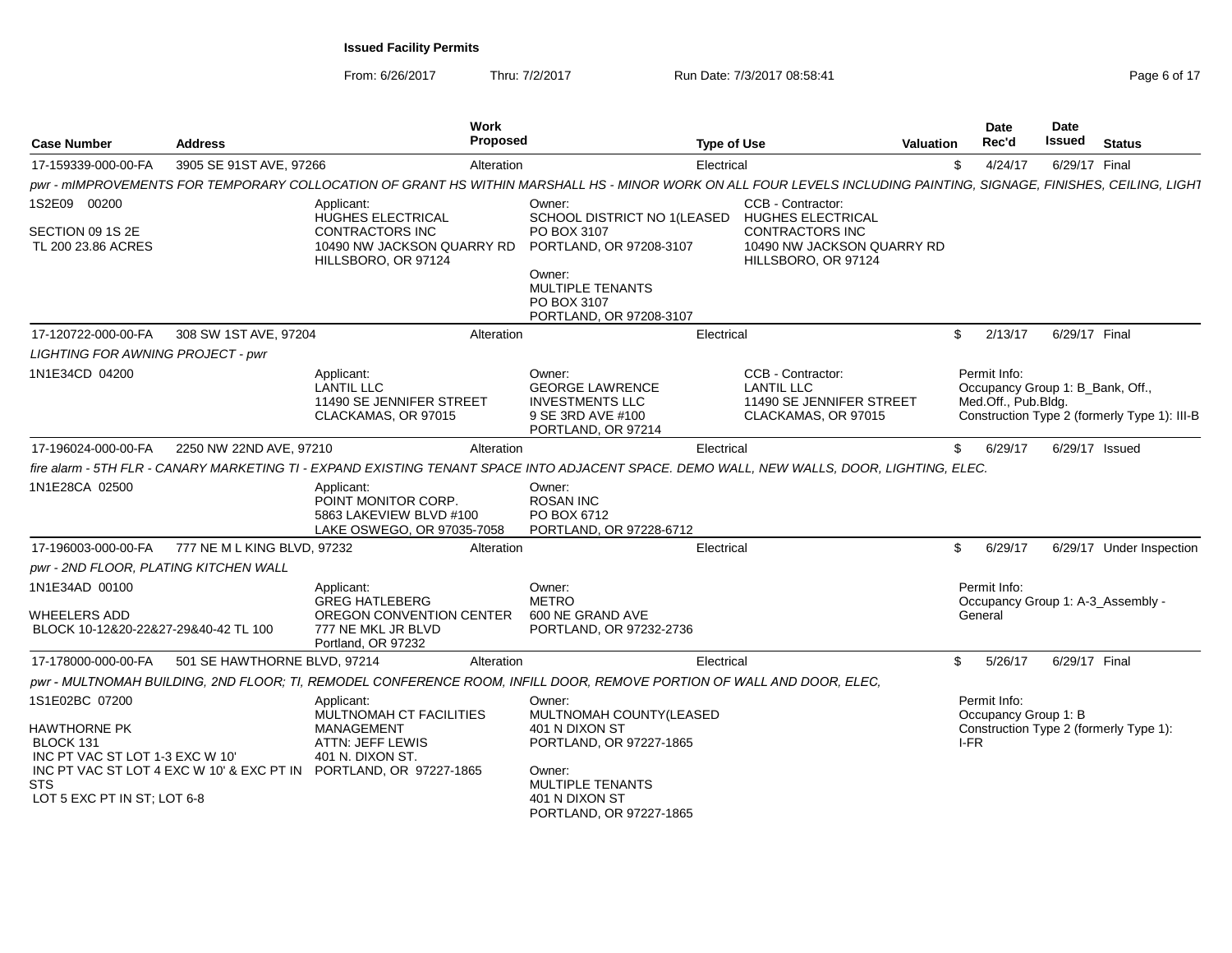From: 6/26/2017

Thru: 7/2/2017 **Run Date: 7/3/2017 08:58:41 Page 6 of 17** Page 6 of 17

| <b>Case Number</b>                                                                    | <b>Address</b>               | Work<br>Proposed                                                                                                                                                   |                                                                                                       | <b>Type of Use</b>                                                                        | <b>Valuation</b> | <b>Date</b><br>Rec'd                                                    | Date<br>Issued | <b>Status</b>                                |
|---------------------------------------------------------------------------------------|------------------------------|--------------------------------------------------------------------------------------------------------------------------------------------------------------------|-------------------------------------------------------------------------------------------------------|-------------------------------------------------------------------------------------------|------------------|-------------------------------------------------------------------------|----------------|----------------------------------------------|
| 17-159339-000-00-FA                                                                   | 3905 SE 91ST AVE, 97266      | Alteration                                                                                                                                                         |                                                                                                       | Electrical                                                                                | \$               | 4/24/17                                                                 | 6/29/17 Final  |                                              |
|                                                                                       |                              | pwr - mIMPROVEMENTS FOR TEMPORARY COLLOCATION OF GRANT HS WITHIN MARSHALL HS - MINOR WORK ON ALL FOUR LEVELS INCLUDING PAINTING, SIGNAGE, FINISHES, CEILING, LIGHT |                                                                                                       |                                                                                           |                  |                                                                         |                |                                              |
| 1S2E09 00200                                                                          |                              | Applicant:<br>HUGHES ELECTRICAL                                                                                                                                    | Owner:<br>SCHOOL DISTRICT NO 1(LEASED                                                                 | CCB - Contractor:<br><b>HUGHES ELECTRICAL</b>                                             |                  |                                                                         |                |                                              |
| SECTION 09 1S 2E<br>TL 200 23.86 ACRES                                                |                              | CONTRACTORS INC<br>10490 NW JACKSON QUARRY RD<br>HILLSBORO, OR 97124                                                                                               | PO BOX 3107<br>PORTLAND, OR 97208-3107                                                                | <b>CONTRACTORS INC</b><br>10490 NW JACKSON QUARRY RD<br>HILLSBORO, OR 97124               |                  |                                                                         |                |                                              |
|                                                                                       |                              |                                                                                                                                                                    | Owner:<br>MULTIPLE TENANTS<br>PO BOX 3107<br>PORTLAND, OR 97208-3107                                  |                                                                                           |                  |                                                                         |                |                                              |
| 17-120722-000-00-FA                                                                   | 308 SW 1ST AVE, 97204        | Alteration                                                                                                                                                         |                                                                                                       | Electrical                                                                                | \$               | 2/13/17                                                                 | 6/29/17 Final  |                                              |
| LIGHTING FOR AWNING PROJECT - pwr                                                     |                              |                                                                                                                                                                    |                                                                                                       |                                                                                           |                  |                                                                         |                |                                              |
| 1N1E34CD 04200                                                                        |                              | Applicant:<br><b>LANTIL LLC</b><br>11490 SE JENNIFER STREET<br>CLACKAMAS, OR 97015                                                                                 | Owner:<br><b>GEORGE LAWRENCE</b><br><b>INVESTMENTS LLC</b><br>9 SE 3RD AVE #100<br>PORTLAND, OR 97214 | CCB - Contractor:<br><b>LANTIL LLC</b><br>11490 SE JENNIFER STREET<br>CLACKAMAS, OR 97015 |                  | Permit Info:<br>Occupancy Group 1: B_Bank, Off.,<br>Med.Off., Pub.Bldg. |                | Construction Type 2 (formerly Type 1): III-B |
| 17-196024-000-00-FA                                                                   | 2250 NW 22ND AVE, 97210      | Alteration                                                                                                                                                         |                                                                                                       | Electrical                                                                                | \$               | 6/29/17                                                                 | 6/29/17 Issued |                                              |
|                                                                                       |                              | fire alarm - 5TH FLR - CANARY MARKETING TI - EXPAND EXISTING TENANT SPACE INTO ADJACENT SPACE. DEMO WALL, NEW WALLS, DOOR, LIGHTING, ELEC.                         |                                                                                                       |                                                                                           |                  |                                                                         |                |                                              |
| 1N1E28CA 02500                                                                        |                              | Applicant:<br>POINT MONITOR CORP.<br>5863 LAKEVIEW BLVD #100<br>LAKE OSWEGO, OR 97035-7058                                                                         | Owner:<br><b>ROSAN INC</b><br>PO BOX 6712<br>PORTLAND, OR 97228-6712                                  |                                                                                           |                  |                                                                         |                |                                              |
| 17-196003-000-00-FA                                                                   | 777 NE M L KING BLVD, 97232  | Alteration                                                                                                                                                         |                                                                                                       | Electrical                                                                                | \$               | 6/29/17                                                                 |                | 6/29/17 Under Inspection                     |
| pwr - 2ND FLOOR, PLATING KITCHEN WALL                                                 |                              |                                                                                                                                                                    |                                                                                                       |                                                                                           |                  |                                                                         |                |                                              |
| 1N1E34AD 00100                                                                        |                              | Applicant:                                                                                                                                                         | Owner:                                                                                                |                                                                                           |                  | Permit Info:                                                            |                |                                              |
| <b>WHEELERS ADD</b><br>BLOCK 10-12&20-22&27-29&40-42 TL 100                           |                              | <b>GREG HATLEBERG</b><br>OREGON CONVENTION CENTER<br>777 NE MKL JR BLVD<br>Portland, OR 97232                                                                      | <b>METRO</b><br>600 NE GRAND AVE<br>PORTLAND, OR 97232-2736                                           |                                                                                           |                  | General                                                                 |                | Occupancy Group 1: A-3_Assembly -            |
| 17-178000-000-00-FA                                                                   | 501 SE HAWTHORNE BLVD, 97214 | Alteration                                                                                                                                                         |                                                                                                       | Electrical                                                                                | \$               | 5/26/17                                                                 | 6/29/17 Final  |                                              |
|                                                                                       |                              | pwr - MULTNOMAH BUILDING, 2ND FLOOR; TI, REMODEL CONFERENCE ROOM, INFILL DOOR, REMOVE PORTION OF WALL AND DOOR, ELEC,                                              |                                                                                                       |                                                                                           |                  |                                                                         |                |                                              |
| 1S1E02BC 07200<br><b>HAWTHORNE PK</b><br>BLOCK 131<br>INC PT VAC ST LOT 1-3 EXC W 10' |                              | Applicant:<br>MULTNOMAH CT FACILITIES<br>MANAGEMENT<br>ATTN: JEFF LEWIS<br>401 N. DIXON ST.                                                                        | Owner:<br>MULTNOMAH COUNTY(LEASED<br>401 N DIXON ST<br>PORTLAND, OR 97227-1865                        |                                                                                           |                  | Permit Info:<br>Occupancy Group 1: B<br>I-FR                            |                | Construction Type 2 (formerly Type 1):       |
| <b>STS</b><br>LOT 5 EXC PT IN ST; LOT 6-8                                             |                              | INC PT VAC ST LOT 4 EXC W 10' & EXC PT IN PORTLAND, OR 97227-1865                                                                                                  | Owner:<br>MULTIPLE TENANTS<br>401 N DIXON ST<br>PORTLAND, OR 97227-1865                               |                                                                                           |                  |                                                                         |                |                                              |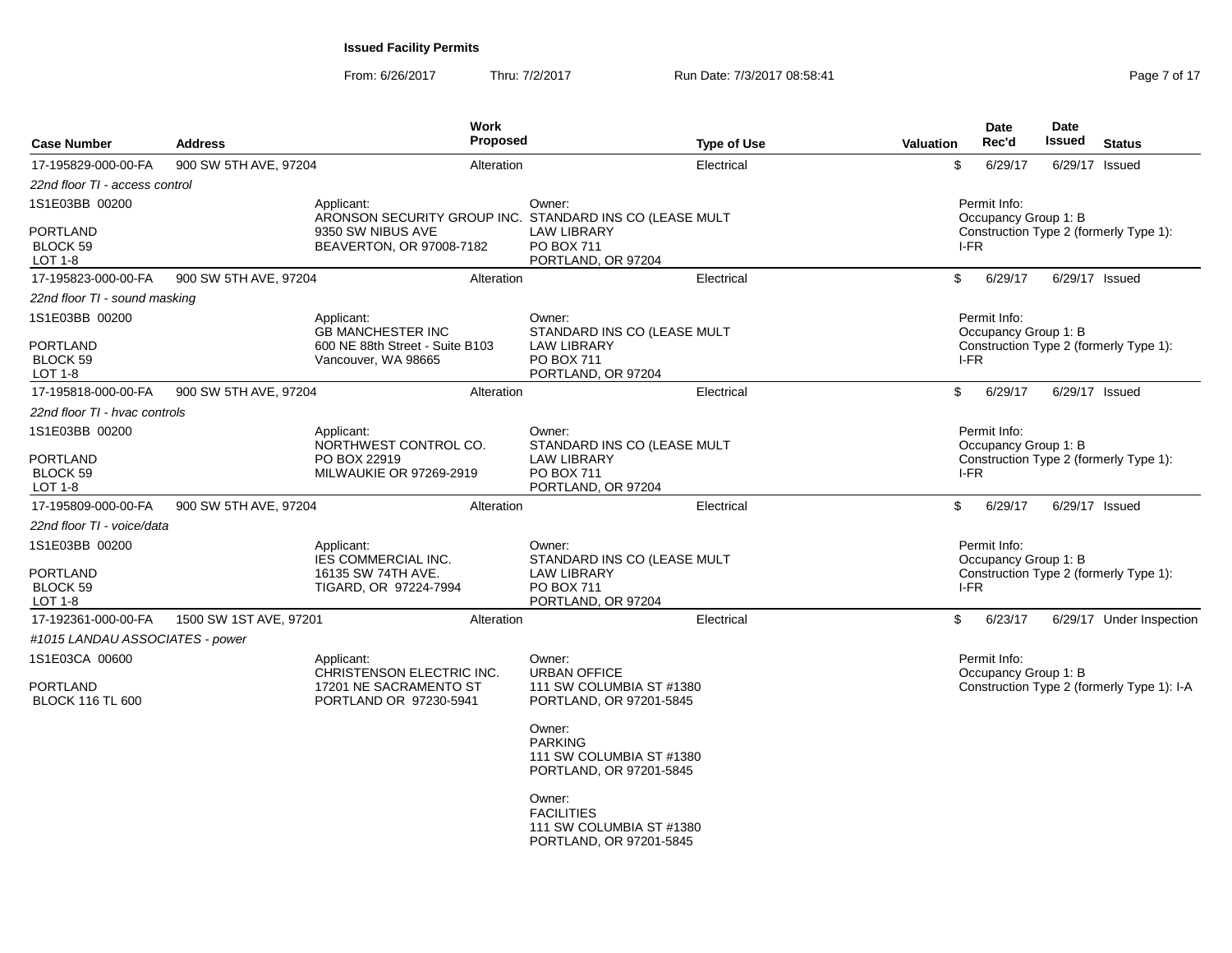From: 6/26/2017Thru: 7/2/2017 **Run Date: 7/3/2017 08:58:41** Page 7 of 17

| <b>Case Number</b>                            | <b>Address</b>         | Work<br><b>Proposed</b>                                               |                                                                                              | <b>Type of Use</b> | <b>Valuation</b> | Date<br>Rec'd                        | Date<br>Issued | <b>Status</b>                              |
|-----------------------------------------------|------------------------|-----------------------------------------------------------------------|----------------------------------------------------------------------------------------------|--------------------|------------------|--------------------------------------|----------------|--------------------------------------------|
| 17-195829-000-00-FA                           | 900 SW 5TH AVE, 97204  | Alteration                                                            |                                                                                              | Electrical         | \$               | 6/29/17                              |                | 6/29/17 Issued                             |
| 22nd floor TI - access control                |                        |                                                                       |                                                                                              |                    |                  |                                      |                |                                            |
| 1S1E03BB 00200                                |                        | Applicant:<br>ARONSON SECURITY GROUP INC. STANDARD INS CO (LEASE MULT | Owner:                                                                                       |                    |                  | Permit Info:<br>Occupancy Group 1: B |                |                                            |
| <b>PORTLAND</b><br>BLOCK 59<br>LOT 1-8        |                        | 9350 SW NIBUS AVE<br>BEAVERTON, OR 97008-7182                         | <b>LAW LIBRARY</b><br><b>PO BOX 711</b><br>PORTLAND, OR 97204                                |                    | I-FR             |                                      |                | Construction Type 2 (formerly Type 1):     |
| 17-195823-000-00-FA                           | 900 SW 5TH AVE, 97204  | Alteration                                                            |                                                                                              | Electrical         | \$               | 6/29/17                              |                | 6/29/17 Issued                             |
| 22nd floor TI - sound masking                 |                        |                                                                       |                                                                                              |                    |                  |                                      |                |                                            |
| 1S1E03BB 00200                                |                        | Applicant:<br><b>GB MANCHESTER INC</b>                                | Owner:                                                                                       |                    |                  | Permit Info:                         |                |                                            |
| <b>PORTLAND</b><br>BLOCK 59<br>LOT $1-8$      |                        | 600 NE 88th Street - Suite B103<br>Vancouver, WA 98665                | STANDARD INS CO (LEASE MULT<br><b>LAW LIBRARY</b><br><b>PO BOX 711</b><br>PORTLAND, OR 97204 |                    | I-FR             | Occupancy Group 1: B                 |                | Construction Type 2 (formerly Type 1):     |
| 17-195818-000-00-FA                           | 900 SW 5TH AVE, 97204  | Alteration                                                            |                                                                                              | Electrical         | \$               | 6/29/17                              |                | 6/29/17 Issued                             |
| 22nd floor TI - hvac controls                 |                        |                                                                       |                                                                                              |                    |                  |                                      |                |                                            |
| 1S1E03BB 00200                                |                        | Applicant:                                                            | Owner:                                                                                       |                    |                  | Permit Info:                         |                |                                            |
| <b>PORTLAND</b><br><b>BLOCK 59</b><br>LOT 1-8 |                        | NORTHWEST CONTROL CO.<br>PO BOX 22919<br>MILWAUKIE OR 97269-2919      | STANDARD INS CO (LEASE MULT<br><b>LAW LIBRARY</b><br><b>PO BOX 711</b><br>PORTLAND, OR 97204 |                    | I-FR             | Occupancy Group 1: B                 |                | Construction Type 2 (formerly Type 1):     |
| 17-195809-000-00-FA                           | 900 SW 5TH AVE, 97204  | Alteration                                                            |                                                                                              | Electrical         | \$               | 6/29/17                              |                | 6/29/17 Issued                             |
| 22nd floor TI - voice/data                    |                        |                                                                       |                                                                                              |                    |                  |                                      |                |                                            |
| 1S1E03BB 00200                                |                        | Applicant:<br><b>IES COMMERCIAL INC.</b>                              | Owner:<br>STANDARD INS CO (LEASE MULT                                                        |                    |                  | Permit Info:<br>Occupancy Group 1: B |                |                                            |
| <b>PORTLAND</b><br>BLOCK 59<br>LOT 1-8        |                        | 16135 SW 74TH AVE.<br>TIGARD, OR 97224-7994                           | <b>LAW LIBRARY</b><br><b>PO BOX 711</b><br>PORTLAND, OR 97204                                |                    | I-FR             |                                      |                | Construction Type 2 (formerly Type 1):     |
| 17-192361-000-00-FA                           | 1500 SW 1ST AVE, 97201 | Alteration                                                            |                                                                                              | Electrical         | \$               | 6/23/17                              |                | 6/29/17 Under Inspection                   |
| #1015 LANDAU ASSOCIATES - power               |                        |                                                                       |                                                                                              |                    |                  |                                      |                |                                            |
| 1S1E03CA 00600                                |                        | Applicant:<br>CHRISTENSON ELECTRIC INC.                               | Owner:<br><b>URBAN OFFICE</b>                                                                |                    |                  | Permit Info:                         |                |                                            |
| <b>PORTLAND</b><br><b>BLOCK 116 TL 600</b>    |                        | 17201 NE SACRAMENTO ST<br>PORTLAND OR 97230-5941                      | 111 SW COLUMBIA ST #1380<br>PORTLAND, OR 97201-5845                                          |                    |                  | Occupancy Group 1: B                 |                | Construction Type 2 (formerly Type 1): I-A |
|                                               |                        |                                                                       | Owner:<br><b>PARKING</b><br>111 SW COLUMBIA ST #1380<br>PORTLAND, OR 97201-5845              |                    |                  |                                      |                |                                            |
|                                               |                        |                                                                       | Owner:<br><b>FACILITIES</b><br>111 SW COLUMBIA ST #1380<br>PORTLAND, OR 97201-5845           |                    |                  |                                      |                |                                            |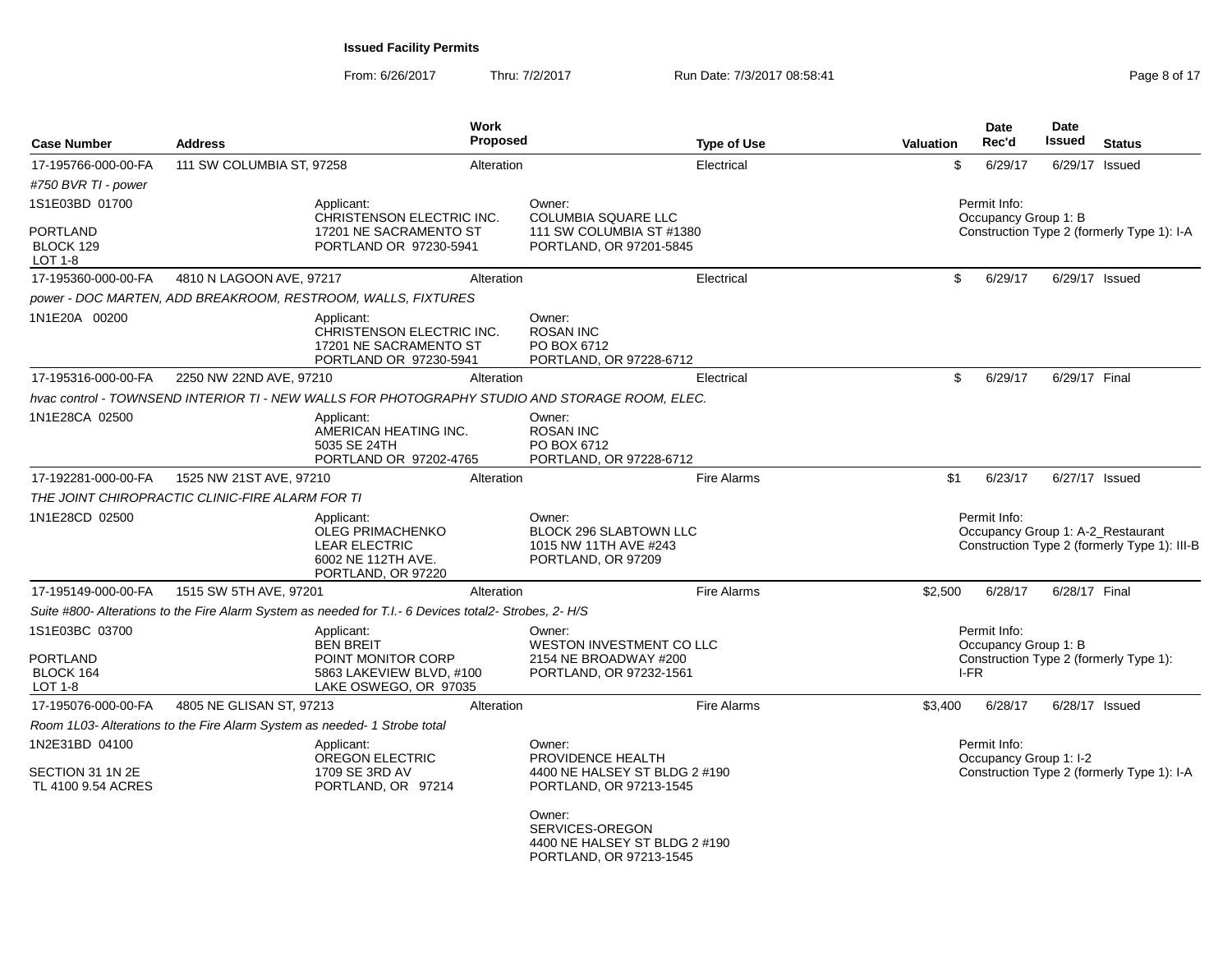From: 6/26/2017Thru: 7/2/2017 **Run Date: 7/3/2017 08:58:41** Page 8 of 17

| <b>Case Number</b>                                        | <b>Address</b>                                                                                         | Work<br><b>Proposed</b>                                                                     | <b>Type of Use</b>                                                                      | <b>Valuation</b> | <b>Date</b><br>Rec'd                         | <b>Date</b><br>Issued<br><b>Status</b>                                            |
|-----------------------------------------------------------|--------------------------------------------------------------------------------------------------------|---------------------------------------------------------------------------------------------|-----------------------------------------------------------------------------------------|------------------|----------------------------------------------|-----------------------------------------------------------------------------------|
| 17-195766-000-00-FA                                       | 111 SW COLUMBIA ST, 97258                                                                              | Alteration                                                                                  | Electrical                                                                              | \$               | 6/29/17                                      | 6/29/17 Issued                                                                    |
| #750 BVR TI - power                                       |                                                                                                        |                                                                                             |                                                                                         |                  |                                              |                                                                                   |
| 1S1E03BD 01700                                            | Applicant:                                                                                             | CHRISTENSON ELECTRIC INC.                                                                   | Owner:<br><b>COLUMBIA SQUARE LLC</b>                                                    |                  | Permit Info:<br>Occupancy Group 1: B         |                                                                                   |
| <b>PORTLAND</b><br>BLOCK 129<br><b>LOT 1-8</b>            |                                                                                                        | 17201 NE SACRAMENTO ST<br>PORTLAND OR 97230-5941                                            | 111 SW COLUMBIA ST #1380<br>PORTLAND, OR 97201-5845                                     |                  |                                              | Construction Type 2 (formerly Type 1): I-A                                        |
| 17-195360-000-00-FA                                       | 4810 N LAGOON AVE, 97217                                                                               | Alteration                                                                                  | Electrical                                                                              | \$               | 6/29/17                                      | 6/29/17 Issued                                                                    |
|                                                           | power - DOC MARTEN, ADD BREAKROOM, RESTROOM, WALLS, FIXTURES                                           |                                                                                             |                                                                                         |                  |                                              |                                                                                   |
| 1N1E20A 00200                                             | Applicant:                                                                                             | CHRISTENSON ELECTRIC INC.<br>17201 NE SACRAMENTO ST<br>PORTLAND OR 97230-5941               | Owner:<br><b>ROSAN INC</b><br>PO BOX 6712<br>PORTLAND, OR 97228-6712                    |                  |                                              |                                                                                   |
| 17-195316-000-00-FA                                       | 2250 NW 22ND AVE, 97210                                                                                | Alteration                                                                                  | Electrical                                                                              | \$               | 6/29/17                                      | 6/29/17 Final                                                                     |
|                                                           | hvac control - TOWNSEND INTERIOR TI - NEW WALLS FOR PHOTOGRAPHY STUDIO AND STORAGE ROOM, ELEC.         |                                                                                             |                                                                                         |                  |                                              |                                                                                   |
| 1N1E28CA 02500                                            | Applicant:<br>5035 SE 24TH                                                                             | AMERICAN HEATING INC.<br>PORTLAND OR 97202-4765                                             | Owner:<br><b>ROSAN INC</b><br>PO BOX 6712<br>PORTLAND, OR 97228-6712                    |                  |                                              |                                                                                   |
| 17-192281-000-00-FA                                       | 1525 NW 21ST AVE, 97210                                                                                | Alteration                                                                                  | <b>Fire Alarms</b>                                                                      | \$1              | 6/23/17                                      | 6/27/17 Issued                                                                    |
|                                                           | THE JOINT CHIROPRACTIC CLINIC-FIRE ALARM FOR TI                                                        |                                                                                             |                                                                                         |                  |                                              |                                                                                   |
| 1N1E28CD 02500                                            | Applicant:                                                                                             | <b>OLEG PRIMACHENKO</b><br><b>LEAR ELECTRIC</b><br>6002 NE 112TH AVE.<br>PORTLAND, OR 97220 | Owner:<br>BLOCK 296 SLABTOWN LLC<br>1015 NW 11TH AVE #243<br>PORTLAND, OR 97209         |                  | Permit Info:                                 | Occupancy Group 1: A-2_Restaurant<br>Construction Type 2 (formerly Type 1): III-B |
| 17-195149-000-00-FA                                       | 1515 SW 5TH AVE, 97201                                                                                 | Alteration                                                                                  | <b>Fire Alarms</b>                                                                      | \$2.500          | 6/28/17                                      | 6/28/17 Final                                                                     |
|                                                           | Suite #800- Alterations to the Fire Alarm System as needed for T.I.- 6 Devices total2- Strobes, 2- H/S |                                                                                             |                                                                                         |                  |                                              |                                                                                   |
| 1S1E03BC 03700<br><b>PORTLAND</b><br>BLOCK 164<br>LOT 1-8 | Applicant:<br><b>BEN BREIT</b>                                                                         | POINT MONITOR CORP<br>5863 LAKEVIEW BLVD, #100<br>LAKE OSWEGO, OR 97035                     | Owner:<br>WESTON INVESTMENT CO LLC<br>2154 NE BROADWAY #200<br>PORTLAND, OR 97232-1561  |                  | Permit Info:<br>Occupancy Group 1: B<br>I-FR | Construction Type 2 (formerly Type 1):                                            |
| 17-195076-000-00-FA                                       | 4805 NE GLISAN ST, 97213                                                                               | Alteration                                                                                  | <b>Fire Alarms</b>                                                                      | \$3,400          | 6/28/17                                      | 6/28/17 Issued                                                                    |
|                                                           | Room 1L03- Alterations to the Fire Alarm System as needed- 1 Strobe total                              |                                                                                             |                                                                                         |                  |                                              |                                                                                   |
| 1N2E31BD 04100<br>SECTION 31 1N 2E<br>TL 4100 9.54 ACRES  | Applicant:                                                                                             | <b>OREGON ELECTRIC</b><br>1709 SE 3RD AV<br>PORTLAND, OR 97214                              | Owner:<br>PROVIDENCE HEALTH<br>4400 NE HALSEY ST BLDG 2 #190<br>PORTLAND, OR 97213-1545 |                  | Permit Info:<br>Occupancy Group 1: I-2       | Construction Type 2 (formerly Type 1): I-A                                        |
|                                                           |                                                                                                        |                                                                                             | Owner:<br>SERVICES-OREGON<br>4400 NE HALSEY ST BLDG 2 #190<br>PORTLAND, OR 97213-1545   |                  |                                              |                                                                                   |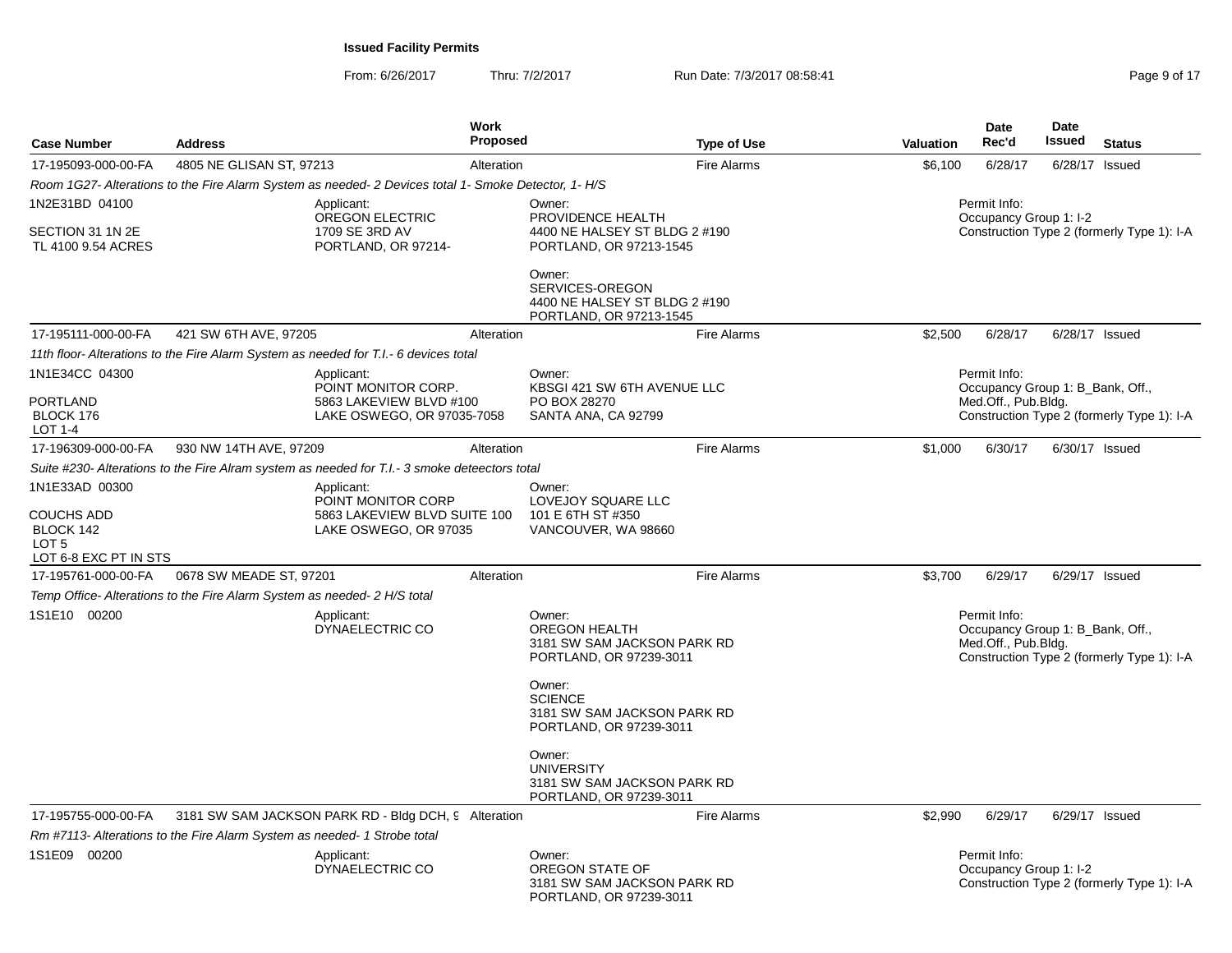From: 6/26/2017Thru: 7/2/2017 **Run Date: 7/3/2017 08:58:41 Page 9 of 17 Page 9 of 17** 

|                                                                      |                                                                                                      |                                                                                            | <b>Work</b>     |                                                                                          |                    |                                        | <b>Date</b>                                                             | Date                                       |                                            |  |
|----------------------------------------------------------------------|------------------------------------------------------------------------------------------------------|--------------------------------------------------------------------------------------------|-----------------|------------------------------------------------------------------------------------------|--------------------|----------------------------------------|-------------------------------------------------------------------------|--------------------------------------------|--------------------------------------------|--|
| <b>Case Number</b>                                                   | <b>Address</b>                                                                                       |                                                                                            | <b>Proposed</b> |                                                                                          | <b>Type of Use</b> | Valuation                              | Rec'd                                                                   | <b>Issued</b>                              | <b>Status</b>                              |  |
| 17-195093-000-00-FA                                                  | 4805 NE GLISAN ST, 97213                                                                             |                                                                                            | Alteration      |                                                                                          | <b>Fire Alarms</b> | \$6,100                                | 6/28/17                                                                 |                                            | 6/28/17 Issued                             |  |
|                                                                      | Room 1G27- Alterations to the Fire Alarm System as needed- 2 Devices total 1- Smoke Detector, 1- H/S |                                                                                            |                 |                                                                                          |                    |                                        |                                                                         |                                            |                                            |  |
| 1N2E31BD 04100<br>SECTION 31 1N 2E<br>TL 4100 9.54 ACRES             |                                                                                                      | Applicant:<br>OREGON ELECTRIC<br>1709 SE 3RD AV<br>PORTLAND, OR 97214-                     |                 | Owner:<br>PROVIDENCE HEALTH<br>4400 NE HALSEY ST BLDG 2 #190<br>PORTLAND, OR 97213-1545  |                    | Permit Info:<br>Occupancy Group 1: I-2 |                                                                         | Construction Type 2 (formerly Type 1): I-A |                                            |  |
|                                                                      |                                                                                                      |                                                                                            |                 | Owner:<br>SERVICES-OREGON<br>4400 NE HALSEY ST BLDG 2 #190<br>PORTLAND, OR 97213-1545    |                    |                                        |                                                                         |                                            |                                            |  |
| 17-195111-000-00-FA                                                  | 421 SW 6TH AVE, 97205                                                                                |                                                                                            | Alteration      |                                                                                          | <b>Fire Alarms</b> | \$2,500                                | 6/28/17                                                                 |                                            | 6/28/17 Issued                             |  |
|                                                                      | 11th floor- Alterations to the Fire Alarm System as needed for T.I.- 6 devices total                 |                                                                                            |                 |                                                                                          |                    |                                        |                                                                         |                                            |                                            |  |
| 1N1E34CC 04300<br><b>PORTLAND</b><br>BLOCK 176<br>LOT 1-4            |                                                                                                      | Applicant:<br>POINT MONITOR CORP.<br>5863 LAKEVIEW BLVD #100<br>LAKE OSWEGO, OR 97035-7058 |                 | Owner:<br>KBSGI 421 SW 6TH AVENUE LLC<br>PO BOX 28270<br>SANTA ANA, CA 92799             |                    |                                        | Permit Info:<br>Occupancy Group 1: B_Bank, Off.,<br>Med.Off., Pub.Bldg. |                                            | Construction Type 2 (formerly Type 1): I-A |  |
| 17-196309-000-00-FA                                                  | 930 NW 14TH AVE, 97209                                                                               |                                                                                            | Alteration      |                                                                                          | <b>Fire Alarms</b> | \$1,000                                | 6/30/17                                                                 | 6/30/17 Issued                             |                                            |  |
|                                                                      | Suite #230- Alterations to the Fire Alram system as needed for T.I.-3 smoke deteectors total         |                                                                                            |                 |                                                                                          |                    |                                        |                                                                         |                                            |                                            |  |
| 1N1E33AD 00300<br><b>COUCHS ADD</b><br>BLOCK 142<br>LOT <sub>5</sub> |                                                                                                      | Applicant:<br>POINT MONITOR CORP<br>5863 LAKEVIEW BLVD SUITE 100<br>LAKE OSWEGO, OR 97035  |                 | Owner:<br>LOVEJOY SQUARE LLC<br>101 E 6TH ST #350<br>VANCOUVER, WA 98660                 |                    |                                        |                                                                         |                                            |                                            |  |
| LOT 6-8 EXC PT IN STS                                                |                                                                                                      |                                                                                            |                 |                                                                                          |                    |                                        |                                                                         |                                            |                                            |  |
| 17-195761-000-00-FA                                                  | 0678 SW MEADE ST, 97201                                                                              |                                                                                            | Alteration      |                                                                                          | <b>Fire Alarms</b> | \$3,700                                | 6/29/17                                                                 | 6/29/17 Issued                             |                                            |  |
|                                                                      | Temp Office- Alterations to the Fire Alarm System as needed- 2 H/S total                             |                                                                                            |                 |                                                                                          |                    |                                        |                                                                         |                                            |                                            |  |
| 1S1E10 00200                                                         |                                                                                                      | Applicant:<br>DYNAELECTRIC CO                                                              |                 | Owner:<br><b>OREGON HEALTH</b><br>3181 SW SAM JACKSON PARK RD<br>PORTLAND, OR 97239-3011 |                    |                                        | Permit Info:<br>Occupancy Group 1: B Bank, Off.,<br>Med.Off., Pub.Bldg. |                                            | Construction Type 2 (formerly Type 1): I-A |  |
|                                                                      |                                                                                                      |                                                                                            |                 | Owner:<br><b>SCIENCE</b><br>3181 SW SAM JACKSON PARK RD<br>PORTLAND, OR 97239-3011       |                    |                                        |                                                                         |                                            |                                            |  |
|                                                                      |                                                                                                      |                                                                                            |                 | Owner:<br><b>UNIVERSITY</b><br>3181 SW SAM JACKSON PARK RD<br>PORTLAND, OR 97239-3011    |                    |                                        |                                                                         |                                            |                                            |  |
| 17-195755-000-00-FA                                                  |                                                                                                      | 3181 SW SAM JACKSON PARK RD - Bldg DCH, 9 Alteration                                       |                 |                                                                                          | <b>Fire Alarms</b> | \$2,990                                | 6/29/17                                                                 |                                            | 6/29/17 Issued                             |  |
|                                                                      | Rm #7113- Alterations to the Fire Alarm System as needed-1 Strobe total                              |                                                                                            |                 |                                                                                          |                    |                                        |                                                                         |                                            |                                            |  |
| 1S1E09 00200                                                         |                                                                                                      | Applicant:<br>DYNAELECTRIC CO                                                              |                 | Owner:<br>OREGON STATE OF<br>3181 SW SAM JACKSON PARK RD<br>PORTLAND, OR 97239-3011      |                    |                                        | Permit Info:<br>Occupancy Group 1: I-2                                  |                                            | Construction Type 2 (formerly Type 1): I-A |  |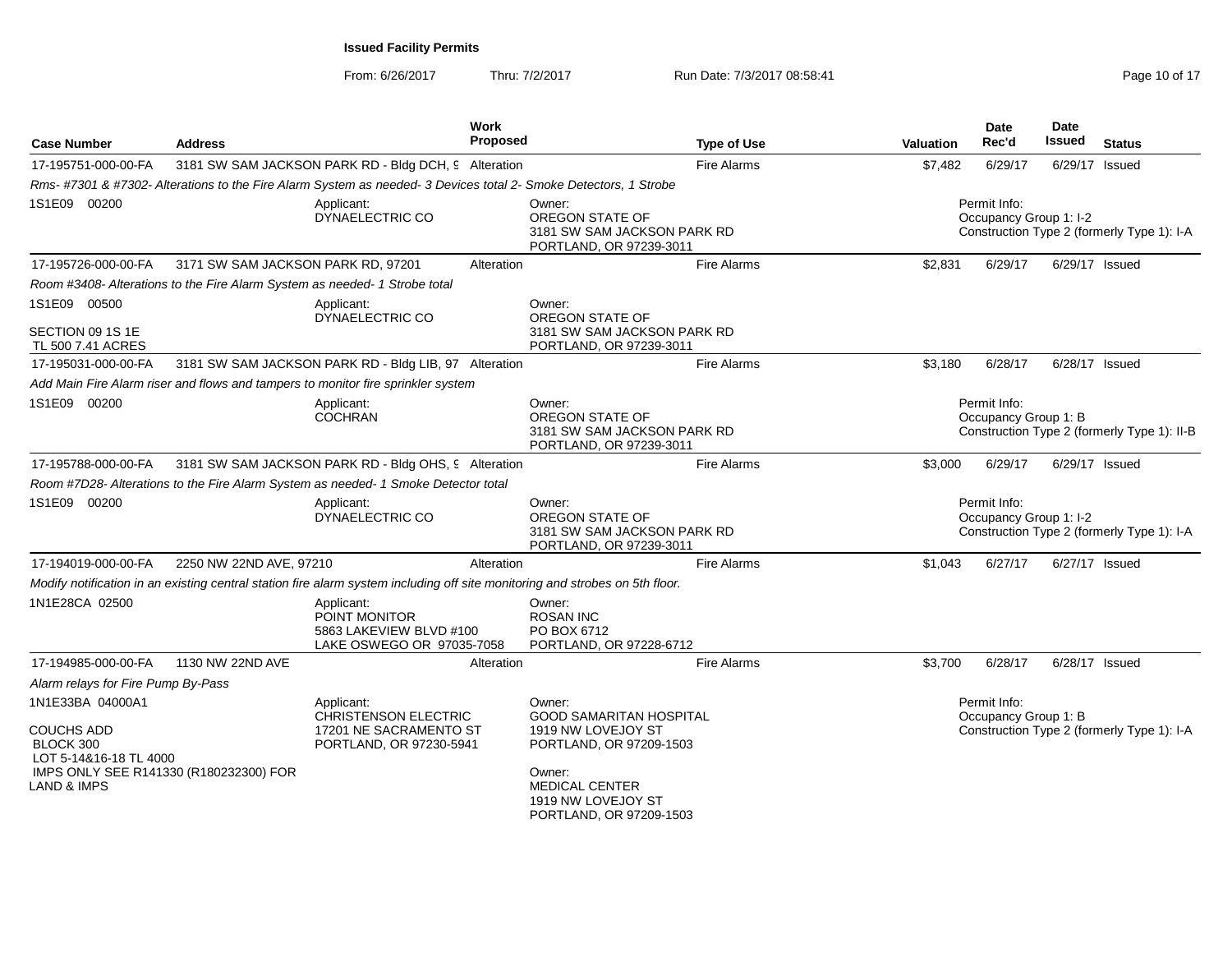From: 6/26/2017Thru: 7/2/2017 **Run Date: 7/3/2017 08:58:41 Run Date: 7/3/2017 08:58:41** Page 10 of 17

| <b>Case Number</b>                                                                                                                               | <b>Address</b>                     |                                                                                                                              | Work<br><b>Proposed</b>                                                                                                     |                                                                                                                                                    | <b>Type of Use</b> | <b>Valuation</b>                                                                     | Date<br>Rec'd                               | Date<br>Issued                             | <b>Status</b>                              |  |
|--------------------------------------------------------------------------------------------------------------------------------------------------|------------------------------------|------------------------------------------------------------------------------------------------------------------------------|-----------------------------------------------------------------------------------------------------------------------------|----------------------------------------------------------------------------------------------------------------------------------------------------|--------------------|--------------------------------------------------------------------------------------|---------------------------------------------|--------------------------------------------|--------------------------------------------|--|
| 17-195751-000-00-FA                                                                                                                              |                                    | 3181 SW SAM JACKSON PARK RD - Bldg DCH, 9 Alteration                                                                         |                                                                                                                             |                                                                                                                                                    | <b>Fire Alarms</b> | \$7,482                                                                              | 6/29/17                                     |                                            | 6/29/17 Issued                             |  |
|                                                                                                                                                  |                                    | Rms-#7301 & #7302- Alterations to the Fire Alarm System as needed- 3 Devices total 2- Smoke Detectors, 1 Strobe              |                                                                                                                             |                                                                                                                                                    |                    |                                                                                      |                                             |                                            |                                            |  |
| 1S1E09 00200                                                                                                                                     |                                    | Applicant:<br>DYNAELECTRIC CO                                                                                                |                                                                                                                             | Owner:<br>OREGON STATE OF<br>3181 SW SAM JACKSON PARK RD<br>PORTLAND, OR 97239-3011                                                                |                    | Permit Info:<br>Occupancy Group 1: I-2<br>Construction Type 2 (formerly Type 1): I-A |                                             |                                            |                                            |  |
| 17-195726-000-00-FA                                                                                                                              | 3171 SW SAM JACKSON PARK RD, 97201 |                                                                                                                              | Alteration                                                                                                                  |                                                                                                                                                    | <b>Fire Alarms</b> | \$2,831                                                                              | 6/29/17                                     |                                            | 6/29/17 Issued                             |  |
|                                                                                                                                                  |                                    | Room #3408- Alterations to the Fire Alarm System as needed- 1 Strobe total                                                   |                                                                                                                             |                                                                                                                                                    |                    |                                                                                      |                                             |                                            |                                            |  |
| 1S1E09 00500<br>SECTION 09 1S 1E                                                                                                                 |                                    | Applicant:<br>DYNAELECTRIC CO                                                                                                |                                                                                                                             | Owner:<br>OREGON STATE OF<br>3181 SW SAM JACKSON PARK RD                                                                                           |                    |                                                                                      |                                             |                                            |                                            |  |
| TL 500 7.41 ACRES                                                                                                                                |                                    |                                                                                                                              |                                                                                                                             | PORTLAND, OR 97239-3011                                                                                                                            |                    |                                                                                      |                                             |                                            |                                            |  |
| 17-195031-000-00-FA                                                                                                                              |                                    | 3181 SW SAM JACKSON PARK RD - Bldg LIB, 97 Alteration                                                                        |                                                                                                                             |                                                                                                                                                    | <b>Fire Alarms</b> | \$3,180                                                                              | 6/28/17                                     |                                            | 6/28/17 Issued                             |  |
|                                                                                                                                                  |                                    | Add Main Fire Alarm riser and flows and tampers to monitor fire sprinkler system                                             |                                                                                                                             |                                                                                                                                                    |                    |                                                                                      |                                             |                                            |                                            |  |
| 1S1E09 00200                                                                                                                                     |                                    | Applicant:<br><b>COCHRAN</b>                                                                                                 | Permit Info:<br>Owner:<br>OREGON STATE OF<br>Occupancy Group 1: B<br>3181 SW SAM JACKSON PARK RD<br>PORTLAND, OR 97239-3011 |                                                                                                                                                    |                    |                                                                                      | Construction Type 2 (formerly Type 1): II-B |                                            |                                            |  |
| 17-195788-000-00-FA                                                                                                                              |                                    | 3181 SW SAM JACKSON PARK RD - Bldg OHS, 9 Alteration                                                                         |                                                                                                                             |                                                                                                                                                    | <b>Fire Alarms</b> | \$3,000                                                                              | 6/29/17                                     |                                            | 6/29/17 Issued                             |  |
|                                                                                                                                                  |                                    | Room #7D28- Alterations to the Fire Alarm System as needed- 1 Smoke Detector total                                           |                                                                                                                             |                                                                                                                                                    |                    |                                                                                      |                                             |                                            |                                            |  |
| 1S1E09 00200                                                                                                                                     |                                    | Applicant:<br>DYNAELECTRIC CO                                                                                                |                                                                                                                             | Owner:<br>OREGON STATE OF<br>3181 SW SAM JACKSON PARK RD<br>PORTLAND, OR 97239-3011                                                                |                    | Permit Info:<br>Occupancy Group 1: I-2                                               |                                             | Construction Type 2 (formerly Type 1): I-A |                                            |  |
| 17-194019-000-00-FA                                                                                                                              | 2250 NW 22ND AVE, 97210            |                                                                                                                              | Alteration                                                                                                                  |                                                                                                                                                    | <b>Fire Alarms</b> | \$1,043                                                                              | 6/27/17                                     |                                            | 6/27/17 Issued                             |  |
|                                                                                                                                                  |                                    | Modify notification in an existing central station fire alarm system including off site monitoring and strobes on 5th floor. |                                                                                                                             |                                                                                                                                                    |                    |                                                                                      |                                             |                                            |                                            |  |
| 1N1E28CA 02500                                                                                                                                   |                                    | Applicant:<br>POINT MONITOR<br>5863 LAKEVIEW BLVD #100<br>LAKE OSWEGO OR 97035-7058                                          |                                                                                                                             | Owner:<br><b>ROSAN INC</b><br>PO BOX 6712<br>PORTLAND, OR 97228-6712                                                                               |                    |                                                                                      |                                             |                                            |                                            |  |
| 17-194985-000-00-FA                                                                                                                              | 1130 NW 22ND AVE                   |                                                                                                                              | Alteration                                                                                                                  |                                                                                                                                                    | <b>Fire Alarms</b> | \$3,700                                                                              | 6/28/17                                     |                                            | 6/28/17 Issued                             |  |
| Alarm relays for Fire Pump By-Pass                                                                                                               |                                    |                                                                                                                              |                                                                                                                             |                                                                                                                                                    |                    |                                                                                      |                                             |                                            |                                            |  |
| 1N1E33BA 04000A1<br><b>COUCHS ADD</b><br>BLOCK 300<br>LOT 5-14&16-18 TL 4000<br>IMPS ONLY SEE R141330 (R180232300) FOR<br><b>LAND &amp; IMPS</b> |                                    | Applicant:<br><b>CHRISTENSON ELECTRIC</b><br>17201 NE SACRAMENTO ST<br>PORTLAND, OR 97230-5941                               |                                                                                                                             | Owner:<br><b>GOOD SAMARITAN HOSPITAL</b><br>1919 NW LOVEJOY ST<br>PORTLAND, OR 97209-1503<br>Owner:<br><b>MEDICAL CENTER</b><br>1919 NW LOVEJOY ST |                    |                                                                                      | Permit Info:<br>Occupancy Group 1: B        |                                            | Construction Type 2 (formerly Type 1): I-A |  |
|                                                                                                                                                  |                                    |                                                                                                                              |                                                                                                                             | PORTLAND, OR 97209-1503                                                                                                                            |                    |                                                                                      |                                             |                                            |                                            |  |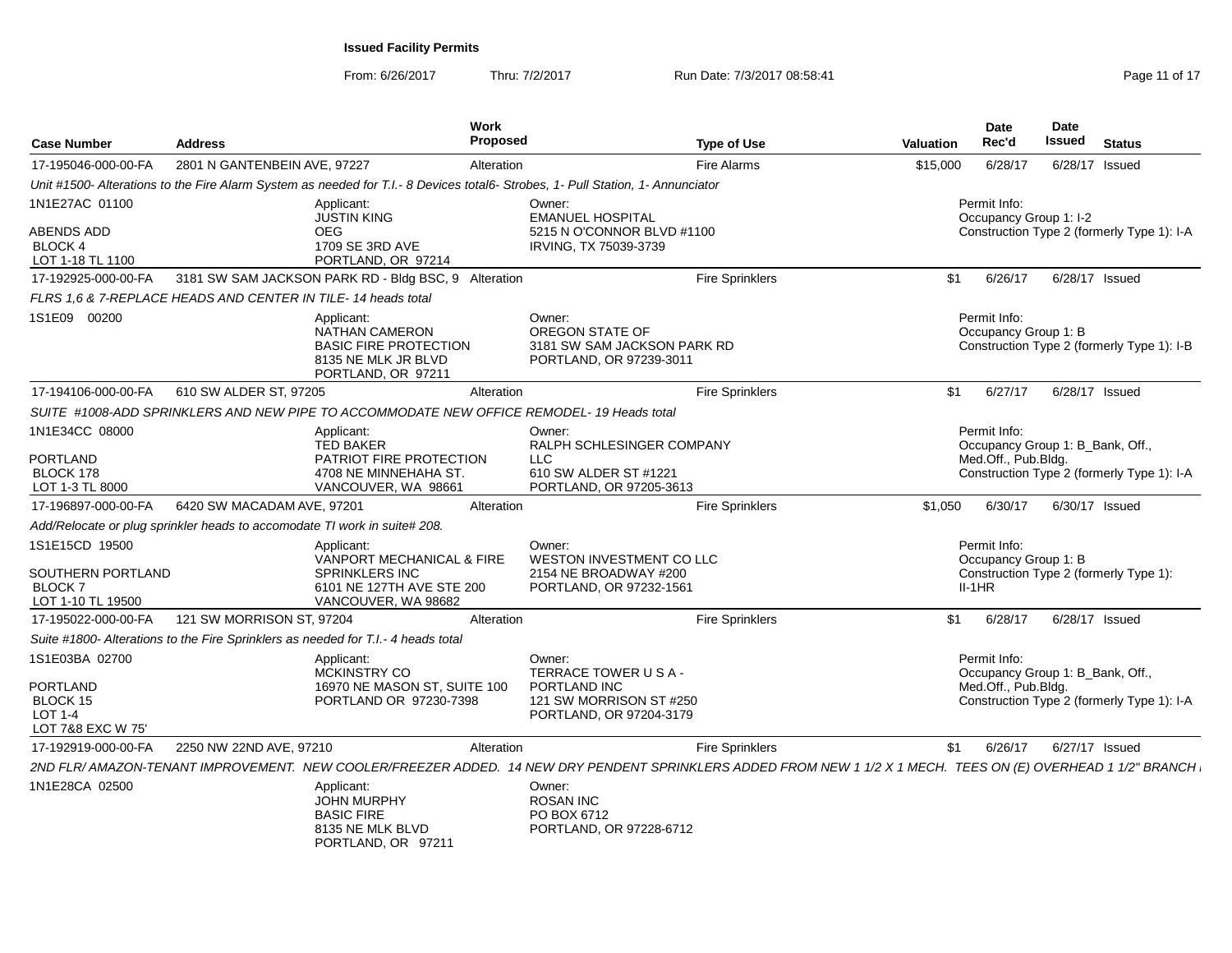From: 6/26/2017Thru: 7/2/2017 **Run Date: 7/3/2017 08:58:41** Page 11 of 17

| <b>Case Number</b>                                                            | <b>Address</b>                                                            |                                                                                                                                                              | Work<br>Proposed |                                                                                                    | <b>Type of Use</b>     | <b>Valuation</b> | <b>Date</b><br>Rec'd                             | <b>Date</b><br><b>Issued</b>     | <b>Status</b>                              |
|-------------------------------------------------------------------------------|---------------------------------------------------------------------------|--------------------------------------------------------------------------------------------------------------------------------------------------------------|------------------|----------------------------------------------------------------------------------------------------|------------------------|------------------|--------------------------------------------------|----------------------------------|--------------------------------------------|
| 17-195046-000-00-FA                                                           | 2801 N GANTENBEIN AVE, 97227                                              |                                                                                                                                                              | Alteration       |                                                                                                    | <b>Fire Alarms</b>     | \$15,000         | 6/28/17                                          | 6/28/17 Issued                   |                                            |
|                                                                               |                                                                           | Unit #1500- Alterations to the Fire Alarm System as needed for T.I.- 8 Devices total6- Strobes, 1- Pull Station, 1- Annunciator                              |                  |                                                                                                    |                        |                  |                                                  |                                  |                                            |
| 1N1E27AC 01100<br>ABENDS ADD<br><b>BLOCK 4</b><br>LOT 1-18 TL 1100            |                                                                           | Applicant:<br><b>JUSTIN KING</b><br><b>OEG</b><br>1709 SE 3RD AVE<br>PORTLAND, OR 97214                                                                      |                  | Owner:<br><b>EMANUEL HOSPITAL</b><br>5215 N O'CONNOR BLVD #1100<br>IRVING, TX 75039-3739           |                        |                  | Permit Info:<br>Occupancy Group 1: I-2           |                                  | Construction Type 2 (formerly Type 1): I-A |
| 17-192925-000-00-FA                                                           |                                                                           | 3181 SW SAM JACKSON PARK RD - Bldg BSC, 9 Alteration                                                                                                         |                  |                                                                                                    | <b>Fire Sprinklers</b> | \$1              | 6/26/17                                          | 6/28/17 Issued                   |                                            |
|                                                                               | FLRS 1,6 & 7-REPLACE HEADS AND CENTER IN TILE-14 heads total              |                                                                                                                                                              |                  |                                                                                                    |                        |                  |                                                  |                                  |                                            |
| 1S1E09 00200                                                                  |                                                                           | Applicant:<br><b>NATHAN CAMERON</b><br><b>BASIC FIRE PROTECTION</b><br>8135 NE MLK JR BLVD<br>PORTLAND, OR 97211                                             |                  | Owner:<br>OREGON STATE OF<br>3181 SW SAM JACKSON PARK RD<br>PORTLAND, OR 97239-3011                |                        |                  | Permit Info:<br>Occupancy Group 1: B             |                                  | Construction Type 2 (formerly Type 1): I-B |
| 17-194106-000-00-FA                                                           | 610 SW ALDER ST, 97205                                                    |                                                                                                                                                              | Alteration       |                                                                                                    | <b>Fire Sprinklers</b> | \$1              | 6/27/17                                          | 6/28/17 Issued                   |                                            |
|                                                                               |                                                                           | SUITE #1008-ADD SPRINKLERS AND NEW PIPE TO ACCOMMODATE NEW OFFICE REMODEL- 19 Heads total                                                                    |                  |                                                                                                    |                        |                  |                                                  |                                  |                                            |
| 1N1E34CC 08000<br>PORTLAND<br>BLOCK 178                                       |                                                                           | Applicant:<br><b>TED BAKER</b><br>PATRIOT FIRE PROTECTION<br>4708 NE MINNEHAHA ST.                                                                           |                  | Owner:<br>RALPH SCHLESINGER COMPANY<br><b>LLC</b><br>610 SW ALDER ST #1221                         |                        |                  | Permit Info:<br>Med.Off., Pub.Bldg.              | Occupancy Group 1: B_Bank, Off., | Construction Type 2 (formerly Type 1): I-A |
| LOT 1-3 TL 8000                                                               |                                                                           | VANCOUVER, WA 98661                                                                                                                                          |                  | PORTLAND, OR 97205-3613                                                                            |                        |                  |                                                  |                                  |                                            |
| 17-196897-000-00-FA                                                           | 6420 SW MACADAM AVE, 97201                                                |                                                                                                                                                              | Alteration       |                                                                                                    | <b>Fire Sprinklers</b> | \$1,050          | 6/30/17                                          | 6/30/17 Issued                   |                                            |
|                                                                               | Add/Relocate or plug sprinkler heads to accomodate TI work in suite# 208. |                                                                                                                                                              |                  |                                                                                                    |                        |                  |                                                  |                                  |                                            |
| 1S1E15CD 19500<br>SOUTHERN PORTLAND<br><b>BLOCK7</b><br>LOT 1-10 TL 19500     |                                                                           | Applicant:<br>VANPORT MECHANICAL & FIRE<br><b>SPRINKLERS INC</b><br>6101 NE 127TH AVE STE 200<br>VANCOUVER, WA 98682                                         |                  | Owner:<br>WESTON INVESTMENT CO LLC<br>2154 NE BROADWAY #200<br>PORTLAND, OR 97232-1561             |                        |                  | Permit Info:<br>Occupancy Group 1: B<br>$II-1HR$ |                                  | Construction Type 2 (formerly Type 1):     |
| 17-195022-000-00-FA                                                           | 121 SW MORRISON ST, 97204                                                 |                                                                                                                                                              | Alteration       |                                                                                                    | <b>Fire Sprinklers</b> | \$1              | 6/28/17                                          | 6/28/17 Issued                   |                                            |
|                                                                               |                                                                           | Suite #1800- Alterations to the Fire Sprinklers as needed for T.I.- 4 heads total                                                                            |                  |                                                                                                    |                        |                  |                                                  |                                  |                                            |
| 1S1E03BA 02700<br><b>PORTLAND</b><br>BLOCK 15<br>LOT 1-4<br>LOT 7&8 EXC W 75' |                                                                           | Applicant:<br>MCKINSTRY CO<br>16970 NE MASON ST, SUITE 100<br>PORTLAND OR 97230-7398                                                                         |                  | Owner:<br>TERRACE TOWER USA-<br>PORTLAND INC<br>121 SW MORRISON ST #250<br>PORTLAND, OR 97204-3179 |                        |                  | Permit Info:<br>Med.Off., Pub.Bldg.              | Occupancy Group 1: B_Bank, Off., | Construction Type 2 (formerly Type 1): I-A |
| 17-192919-000-00-FA                                                           | 2250 NW 22ND AVE, 97210                                                   |                                                                                                                                                              | Alteration       |                                                                                                    | <b>Fire Sprinklers</b> | \$1              | 6/26/17                                          | 6/27/17 Issued                   |                                            |
|                                                                               |                                                                           | 2ND FLR/AMAZON-TENANT IMPROVEMENT. NEW COOLER/FREEZER ADDED. 14 NEW DRY PENDENT SPRINKLERS ADDED FROM NEW 1 1/2 X 1 MECH. TEES ON (E) OVERHEAD 1 1/2" BRANCH |                  |                                                                                                    |                        |                  |                                                  |                                  |                                            |
| 1N1E28CA 02500                                                                |                                                                           | Applicant:<br><b>JOHN MURPHY</b><br><b>BASIC FIRE</b><br>8135 NE MLK BLVD<br>PORTLAND, OR 97211                                                              |                  | Owner:<br><b>ROSAN INC</b><br>PO BOX 6712<br>PORTLAND, OR 97228-6712                               |                        |                  |                                                  |                                  |                                            |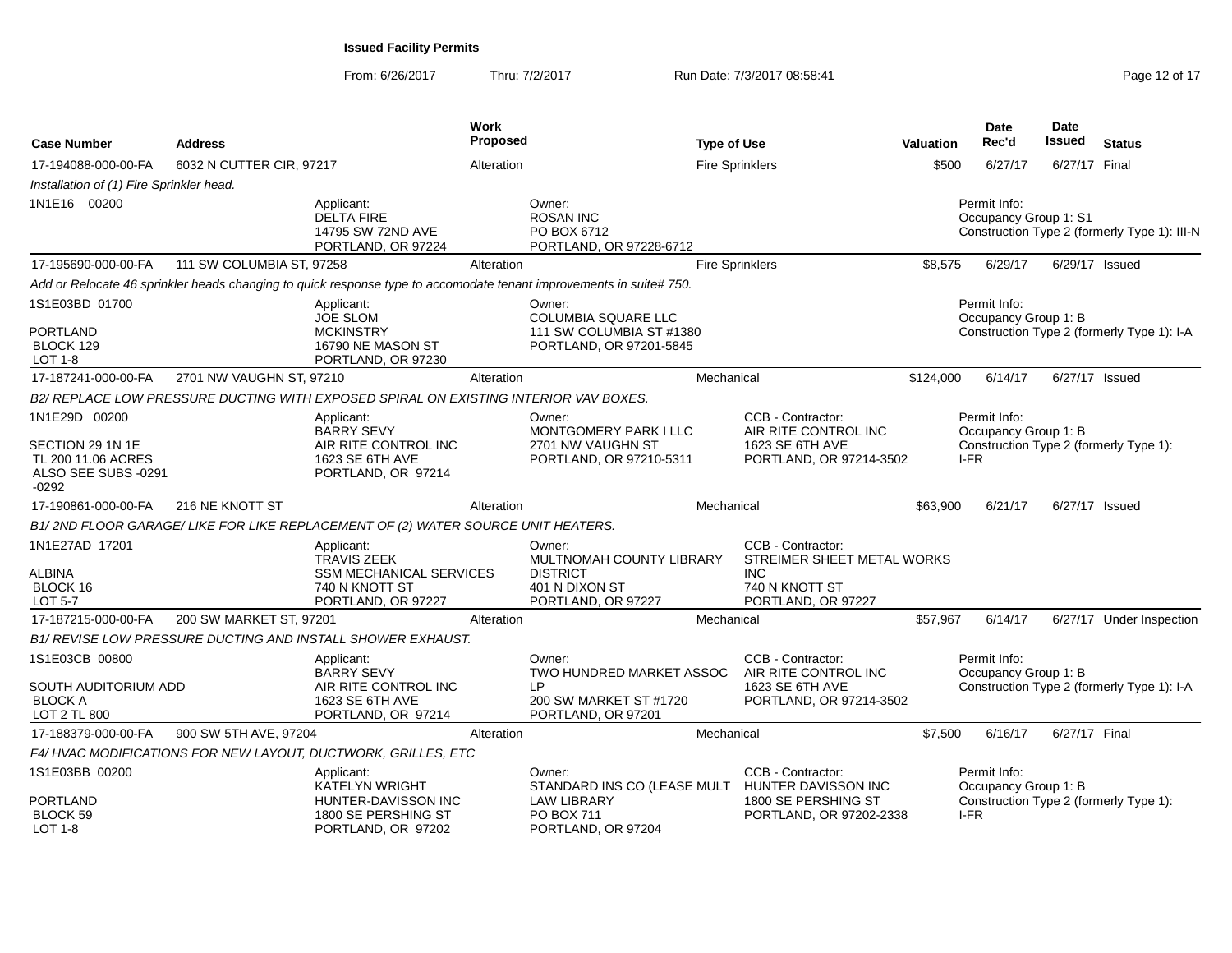From: 6/26/2017Thru: 7/2/2017 **Run Date: 7/3/2017 08:58:41 Page 12 of 17** 

| <b>Case Number</b>                                                       | <b>Address</b>            |                                                                                                     | Work<br>Proposed |                                                                                                                    | <b>Type of Use</b>     |                                                                                                       | Valuation | Date<br>Rec'd                         | <b>Date</b><br><b>Issued</b> | <b>Status</b>                                |
|--------------------------------------------------------------------------|---------------------------|-----------------------------------------------------------------------------------------------------|------------------|--------------------------------------------------------------------------------------------------------------------|------------------------|-------------------------------------------------------------------------------------------------------|-----------|---------------------------------------|------------------------------|----------------------------------------------|
| 17-194088-000-00-FA                                                      | 6032 N CUTTER CIR, 97217  |                                                                                                     | Alteration       |                                                                                                                    | <b>Fire Sprinklers</b> |                                                                                                       | \$500     | 6/27/17                               | 6/27/17 Final                |                                              |
| Installation of (1) Fire Sprinkler head.                                 |                           |                                                                                                     |                  |                                                                                                                    |                        |                                                                                                       |           |                                       |                              |                                              |
| 1N1E16 00200                                                             |                           | Applicant:<br><b>DELTA FIRE</b><br>14795 SW 72ND AVE<br>PORTLAND, OR 97224                          |                  | Owner:<br><b>ROSAN INC</b><br>PO BOX 6712<br>PORTLAND, OR 97228-6712                                               |                        |                                                                                                       |           | Permit Info:<br>Occupancy Group 1: S1 |                              | Construction Type 2 (formerly Type 1): III-N |
| 17-195690-000-00-FA                                                      | 111 SW COLUMBIA ST, 97258 |                                                                                                     | Alteration       |                                                                                                                    | <b>Fire Sprinklers</b> |                                                                                                       | \$8,575   | 6/29/17                               |                              | 6/29/17 Issued                               |
|                                                                          |                           |                                                                                                     |                  | Add or Relocate 46 sprinkler heads changing to quick response type to accomodate tenant improvements in suite#750. |                        |                                                                                                       |           |                                       |                              |                                              |
| 1S1E03BD 01700<br><b>PORTLAND</b><br>BLOCK 129<br><b>LOT 1-8</b>         |                           | Applicant:<br><b>JOE SLOM</b><br><b>MCKINSTRY</b><br>16790 NE MASON ST<br>PORTLAND, OR 97230        |                  | Owner:<br>COLUMBIA SQUARE LLC<br>111 SW COLUMBIA ST #1380<br>PORTLAND, OR 97201-5845                               |                        |                                                                                                       |           | Permit Info:<br>Occupancy Group 1: B  |                              | Construction Type 2 (formerly Type 1): I-A   |
| 17-187241-000-00-FA                                                      | 2701 NW VAUGHN ST, 97210  |                                                                                                     | Alteration       |                                                                                                                    | Mechanical             |                                                                                                       | \$124,000 | 6/14/17                               |                              | 6/27/17 Issued                               |
|                                                                          |                           | B2/ REPLACE LOW PRESSURE DUCTING WITH EXPOSED SPIRAL ON EXISTING INTERIOR VAV BOXES.                |                  |                                                                                                                    |                        |                                                                                                       |           |                                       |                              |                                              |
| 1N1E29D 00200                                                            |                           | Applicant:<br>BARRY SEVY                                                                            |                  | Owner:<br>MONTGOMERY PARK I LLC                                                                                    |                        | CCB - Contractor:<br>AIR RITE CONTROL INC                                                             |           | Permit Info:<br>Occupancy Group 1: B  |                              |                                              |
| SECTION 29 1N 1E<br>TL 200 11.06 ACRES<br>ALSO SEE SUBS -0291<br>$-0292$ |                           | AIR RITE CONTROL INC<br>1623 SE 6TH AVE<br>PORTLAND, OR 97214                                       |                  | 2701 NW VAUGHN ST<br>PORTLAND, OR 97210-5311                                                                       |                        | 1623 SE 6TH AVE<br>PORTLAND, OR 97214-3502                                                            |           | I-FR                                  |                              | Construction Type 2 (formerly Type 1):       |
| 17-190861-000-00-FA                                                      | 216 NE KNOTT ST           |                                                                                                     | Alteration       |                                                                                                                    | Mechanical             |                                                                                                       | \$63,900  | 6/21/17                               |                              | 6/27/17 Issued                               |
|                                                                          |                           | B1/2ND FLOOR GARAGE/LIKE FOR LIKE REPLACEMENT OF (2) WATER SOURCE UNIT HEATERS.                     |                  |                                                                                                                    |                        |                                                                                                       |           |                                       |                              |                                              |
| 1N1E27AD 17201<br><b>ALBINA</b><br>BLOCK 16<br><b>LOT 5-7</b>            |                           | Applicant:<br>TRAVIS ZEEK<br><b>SSM MECHANICAL SERVICES</b><br>740 N KNOTT ST<br>PORTLAND, OR 97227 |                  | Owner:<br>MULTNOMAH COUNTY LIBRARY<br><b>DISTRICT</b><br>401 N DIXON ST<br>PORTLAND, OR 97227                      |                        | CCB - Contractor:<br>STREIMER SHEET METAL WORKS<br><b>INC</b><br>740 N KNOTT ST<br>PORTLAND, OR 97227 |           |                                       |                              |                                              |
| 17-187215-000-00-FA                                                      | 200 SW MARKET ST, 97201   |                                                                                                     | Alteration       |                                                                                                                    | Mechanical             |                                                                                                       | \$57,967  | 6/14/17                               |                              | 6/27/17 Under Inspection                     |
|                                                                          |                           | B1/ REVISE LOW PRESSURE DUCTING AND INSTALL SHOWER EXHAUST.                                         |                  |                                                                                                                    |                        |                                                                                                       |           |                                       |                              |                                              |
| 1S1E03CB 00800                                                           |                           | Applicant:<br><b>BARRY SEVY</b>                                                                     |                  | Owner:<br>TWO HUNDRED MARKET ASSOC                                                                                 |                        | CCB - Contractor:<br>AIR RITE CONTROL INC                                                             |           | Permit Info:<br>Occupancy Group 1: B  |                              |                                              |
| SOUTH AUDITORIUM ADD<br><b>BLOCK A</b><br>LOT 2 TL 800                   |                           | AIR RITE CONTROL INC<br>1623 SE 6TH AVE<br>PORTLAND, OR 97214                                       |                  | I P<br>200 SW MARKET ST #1720<br>PORTLAND, OR 97201                                                                |                        | 1623 SE 6TH AVE<br>PORTLAND, OR 97214-3502                                                            |           |                                       |                              | Construction Type 2 (formerly Type 1): I-A   |
| 17-188379-000-00-FA                                                      | 900 SW 5TH AVE, 97204     |                                                                                                     | Alteration       |                                                                                                                    | Mechanical             |                                                                                                       | \$7,500   | 6/16/17                               | 6/27/17 Final                |                                              |
|                                                                          |                           | F4/ HVAC MODIFICATIONS FOR NEW LAYOUT, DUCTWORK, GRILLES, ETC                                       |                  |                                                                                                                    |                        |                                                                                                       |           |                                       |                              |                                              |
| 1S1E03BB 00200                                                           |                           | Applicant:<br><b>KATELYN WRIGHT</b>                                                                 |                  | Owner:<br>STANDARD INS CO (LEASE MULT                                                                              |                        | CCB - Contractor:<br>HUNTER DAVISSON INC                                                              |           | Permit Info:<br>Occupancy Group 1: B  |                              |                                              |
| PORTLAND<br>BLOCK 59<br>LOT 1-8                                          |                           | HUNTER-DAVISSON INC<br>1800 SE PERSHING ST<br>PORTLAND, OR 97202                                    |                  | <b>LAW LIBRARY</b><br>PO BOX 711<br>PORTLAND, OR 97204                                                             |                        | 1800 SE PERSHING ST<br>PORTLAND, OR 97202-2338                                                        |           | I-FR                                  |                              | Construction Type 2 (formerly Type 1):       |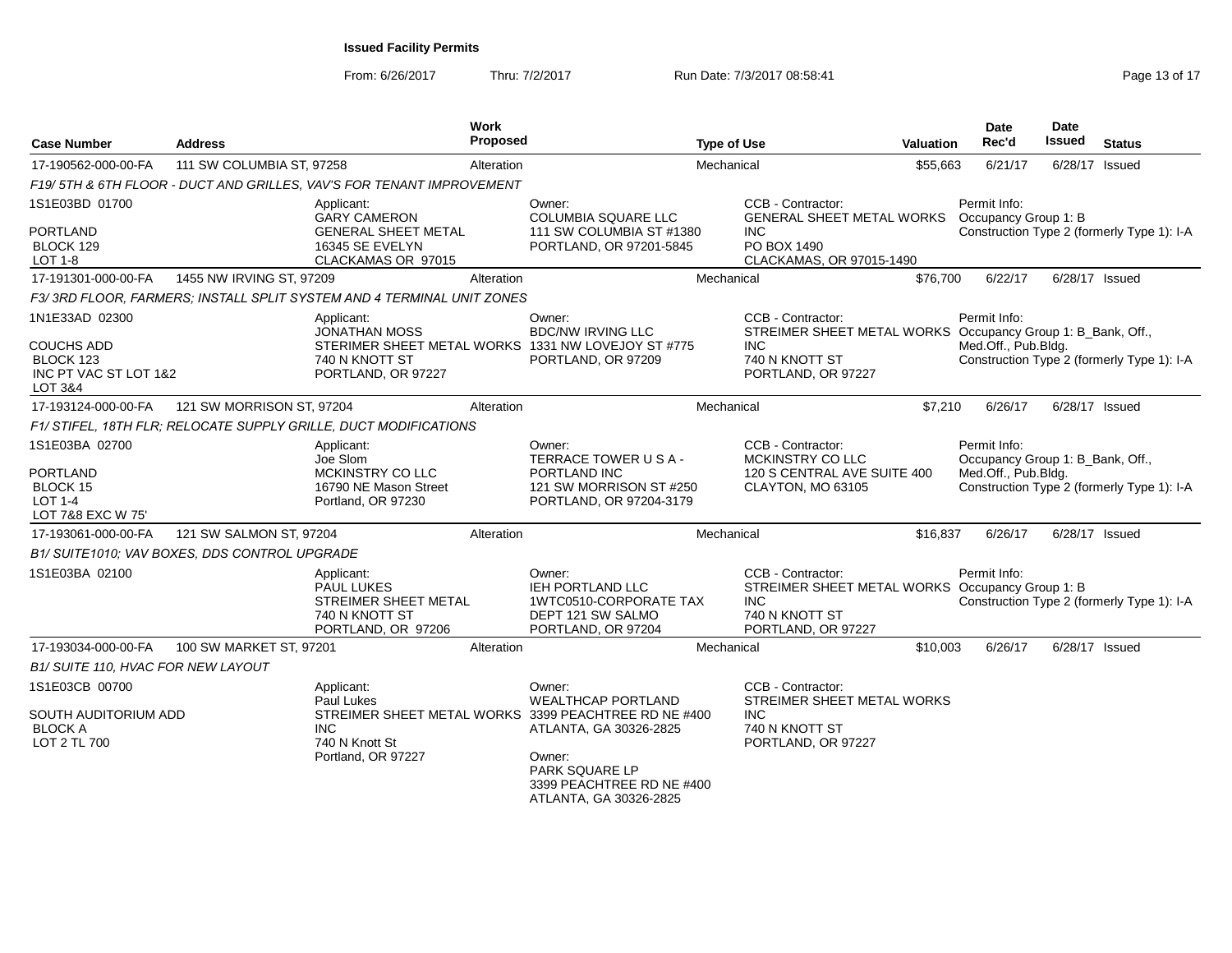From: 6/26/2017

Thru: 7/2/2017 **Run Date: 7/3/2017 08:58:41 Run Date: 7/3/2017 08:58:41** Page 13 of 17

| <b>Case Number</b>                                                                          | <b>Address</b>                                |                                                                                           | Work<br>Proposed |                                                                                                                       | <b>Type of Use</b> |                                                                                                                            | <b>Valuation</b> | <b>Date</b><br>Rec'd                                                    | <b>Date</b><br>Issued                      | <b>Status</b>                              |  |
|---------------------------------------------------------------------------------------------|-----------------------------------------------|-------------------------------------------------------------------------------------------|------------------|-----------------------------------------------------------------------------------------------------------------------|--------------------|----------------------------------------------------------------------------------------------------------------------------|------------------|-------------------------------------------------------------------------|--------------------------------------------|--------------------------------------------|--|
| 17-190562-000-00-FA                                                                         | 111 SW COLUMBIA ST, 97258                     |                                                                                           | Alteration       |                                                                                                                       | Mechanical         |                                                                                                                            | \$55,663         | 6/21/17                                                                 |                                            | 6/28/17 Issued                             |  |
|                                                                                             |                                               | F19/ 5TH & 6TH FLOOR - DUCT AND GRILLES, VAV'S FOR TENANT IMPROVEMENT                     |                  |                                                                                                                       |                    |                                                                                                                            |                  |                                                                         |                                            |                                            |  |
| 1S1E03BD 01700                                                                              |                                               | Applicant:<br><b>GARY CAMERON</b>                                                         |                  | Owner:<br><b>COLUMBIA SQUARE LLC</b>                                                                                  |                    | CCB - Contractor:<br><b>GENERAL SHEET METAL WORKS</b>                                                                      |                  | Permit Info:<br>Occupancy Group 1: B                                    |                                            |                                            |  |
| <b>PORTLAND</b><br>BLOCK 129<br>LOT 1-8                                                     |                                               | <b>GENERAL SHEET METAL</b><br>16345 SE EVELYN<br>CLACKAMAS OR 97015                       |                  | 111 SW COLUMBIA ST #1380<br>PORTLAND, OR 97201-5845                                                                   |                    | INC.<br>PO BOX 1490<br>CLACKAMAS, OR 97015-1490                                                                            |                  |                                                                         | Construction Type 2 (formerly Type 1): I-A |                                            |  |
| 17-191301-000-00-FA                                                                         | 1455 NW IRVING ST, 97209                      |                                                                                           | Alteration       |                                                                                                                       | Mechanical         |                                                                                                                            | \$76,700         | 6/22/17                                                                 |                                            | 6/28/17 Issued                             |  |
|                                                                                             |                                               | F3/3RD FLOOR, FARMERS; INSTALL SPLIT SYSTEM AND 4 TERMINAL UNIT ZONES                     |                  |                                                                                                                       |                    |                                                                                                                            |                  |                                                                         |                                            |                                            |  |
| 1N1E33AD 02300                                                                              |                                               | Applicant:<br><b>JONATHAN MOSS</b>                                                        |                  | Owner:<br><b>BDC/NW IRVING LLC</b>                                                                                    |                    | CCB - Contractor:<br>STREIMER SHEET METAL WORKS Occupancy Group 1: B_Bank, Off.,                                           |                  | Permit Info:                                                            |                                            |                                            |  |
| <b>COUCHS ADD</b><br>BLOCK 123<br>INC PT VAC ST LOT 1&2<br>LOT 3&4                          |                                               | 740 N KNOTT ST<br>PORTLAND, OR 97227                                                      |                  | STERIMER SHEET METAL WORKS 1331 NW LOVEJOY ST #775<br>PORTLAND, OR 97209                                              |                    | INC.<br>740 N KNOTT ST<br>PORTLAND, OR 97227                                                                               |                  | Med.Off., Pub.Bldg.                                                     |                                            | Construction Type 2 (formerly Type 1): I-A |  |
| 17-193124-000-00-FA                                                                         | 121 SW MORRISON ST, 97204                     |                                                                                           | Alteration       |                                                                                                                       | Mechanical         |                                                                                                                            | \$7,210          | 6/26/17                                                                 |                                            | 6/28/17 Issued                             |  |
|                                                                                             |                                               | F1/ STIFEL, 18TH FLR; RELOCATE SUPPLY GRILLE, DUCT MODIFICATIONS                          |                  |                                                                                                                       |                    |                                                                                                                            |                  |                                                                         |                                            |                                            |  |
| 1S1E03BA 02700<br><b>PORTLAND</b><br><b>BLOCK 15</b><br><b>LOT 1-4</b><br>LOT 7&8 EXC W 75' |                                               | Applicant:<br>Joe Slom<br>MCKINSTRY CO LLC<br>16790 NE Mason Street<br>Portland, OR 97230 |                  | Owner:<br>TERRACE TOWER USA-<br>PORTLAND INC<br>121 SW MORRISON ST #250<br>PORTLAND, OR 97204-3179                    |                    | CCB - Contractor:<br>MCKINSTRY CO LLC<br>120 S CENTRAL AVE SUITE 400<br>CLAYTON, MO 63105                                  |                  | Permit Info:<br>Occupancy Group 1: B Bank, Off.,<br>Med.Off., Pub.Bldg. |                                            | Construction Type 2 (formerly Type 1): I-A |  |
| 17-193061-000-00-FA                                                                         | 121 SW SALMON ST, 97204                       |                                                                                           | Alteration       |                                                                                                                       | Mechanical         |                                                                                                                            | \$16,837         | 6/26/17                                                                 |                                            | 6/28/17 Issued                             |  |
|                                                                                             | B1/ SUITE1010; VAV BOXES, DDS CONTROL UPGRADE |                                                                                           |                  |                                                                                                                       |                    |                                                                                                                            |                  |                                                                         |                                            |                                            |  |
| 1S1E03BA 02100                                                                              |                                               | Applicant:<br>PAUL LUKES<br>STREIMER SHEET METAL<br>740 N KNOTT ST<br>PORTLAND, OR 97206  |                  | Owner:<br>IEH PORTLAND LLC<br>1WTC0510-CORPORATE TAX<br>DEPT 121 SW SALMO<br>PORTLAND, OR 97204                       |                    | CCB - Contractor:<br>STREIMER SHEET METAL WORKS Occupancy Group 1: B<br><b>INC</b><br>740 N KNOTT ST<br>PORTLAND, OR 97227 |                  | Permit Info:                                                            |                                            | Construction Type 2 (formerly Type 1): I-A |  |
| 17-193034-000-00-FA                                                                         | 100 SW MARKET ST. 97201                       |                                                                                           | Alteration       |                                                                                                                       | Mechanical         |                                                                                                                            | \$10,003         | 6/26/17                                                                 |                                            | 6/28/17 Issued                             |  |
| B1/ SUITE 110, HVAC FOR NEW LAYOUT                                                          |                                               |                                                                                           |                  |                                                                                                                       |                    |                                                                                                                            |                  |                                                                         |                                            |                                            |  |
| 1S1E03CB 00700<br>SOUTH AUDITORIUM ADD<br><b>BLOCK A</b>                                    |                                               | Applicant:<br>Paul Lukes<br><b>INC</b>                                                    |                  | Owner:<br><b>WEALTHCAP PORTLAND</b><br>STREIMER SHEET METAL WORKS 3399 PEACHTREE RD NE #400<br>ATLANTA, GA 30326-2825 |                    | CCB - Contractor:<br>STREIMER SHEET METAL WORKS<br><b>INC</b><br>740 N KNOTT ST                                            |                  |                                                                         |                                            |                                            |  |
| LOT 2 TL 700                                                                                |                                               | 740 N Knott St<br>Portland, OR 97227                                                      |                  | Owner:<br>PARK SQUARE LP<br>3399 PEACHTREE RD NE #400<br>ATLANTA, GA 30326-2825                                       |                    | PORTLAND, OR 97227                                                                                                         |                  |                                                                         |                                            |                                            |  |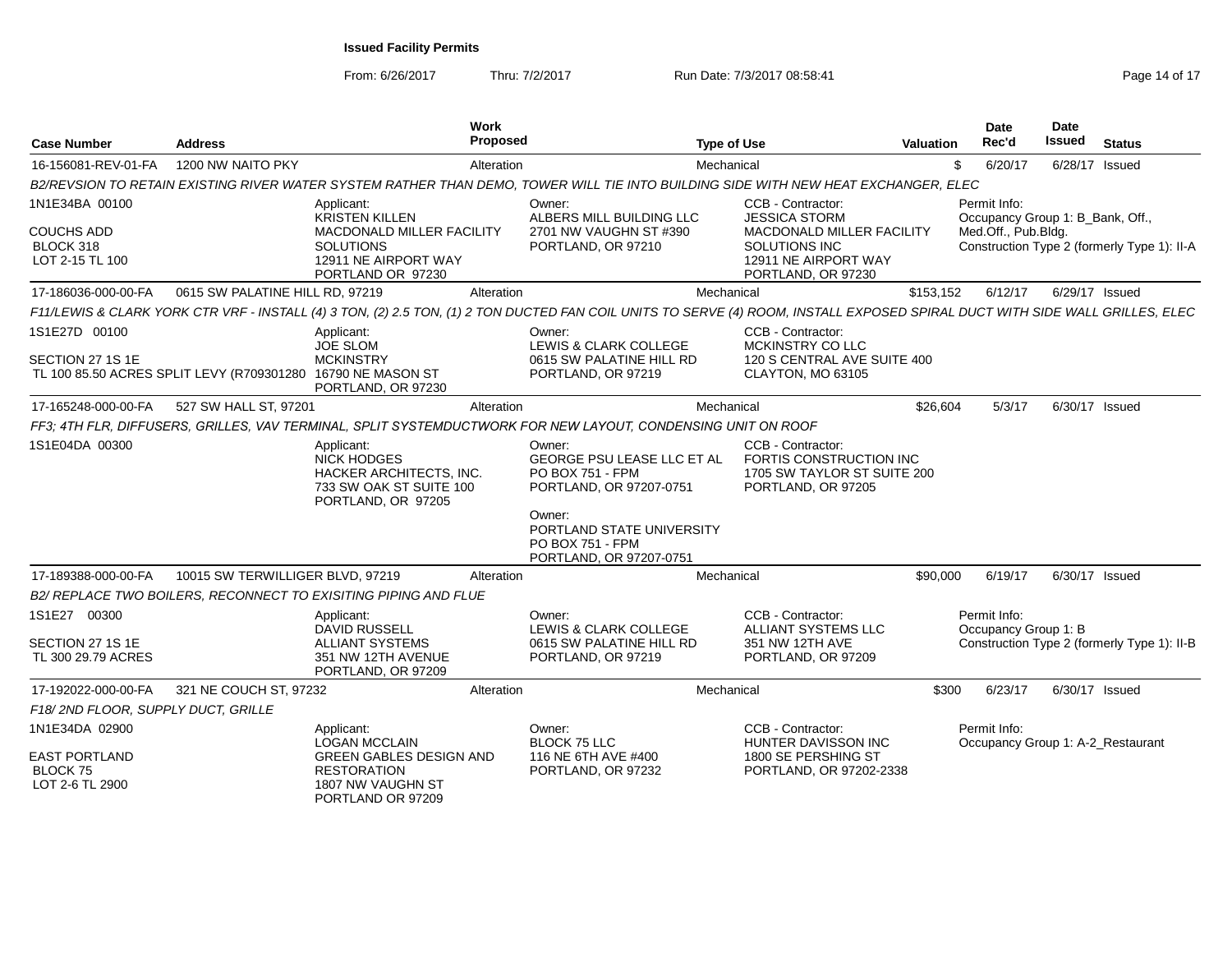From: 6/26/2017

Thru: 7/2/2017 **Run Date: 7/3/2017 08:58:41 Run Date: 7/3/2017 08:58:41** Page 14 of 17

| <b>Case Number</b>                                                           | <b>Address</b>                                              | <b>Work</b><br><b>Proposed</b>                                                                                                                                               |                                                                                                                                                                           | <b>Type of Use</b>                                                                                                                    | <b>Valuation</b> | Date<br>Rec'd                                                           | Date<br><b>Issued</b> | <b>Status</b>                               |
|------------------------------------------------------------------------------|-------------------------------------------------------------|------------------------------------------------------------------------------------------------------------------------------------------------------------------------------|---------------------------------------------------------------------------------------------------------------------------------------------------------------------------|---------------------------------------------------------------------------------------------------------------------------------------|------------------|-------------------------------------------------------------------------|-----------------------|---------------------------------------------|
| 16-156081-REV-01-FA                                                          | 1200 NW NAITO PKY                                           | Alteration                                                                                                                                                                   |                                                                                                                                                                           | Mechanical                                                                                                                            | \$               | 6/20/17                                                                 | 6/28/17 Issued        |                                             |
|                                                                              |                                                             | B2/REVSION TO RETAIN EXISTING RIVER WATER SYSTEM RATHER THAN DEMO, TOWER WILL TIE INTO BUILDING SIDE WITH NEW HEAT EXCHANGER, ELEC                                           |                                                                                                                                                                           |                                                                                                                                       |                  |                                                                         |                       |                                             |
| 1N1E34BA 00100<br><b>COUCHS ADD</b><br>BLOCK 318<br>LOT 2-15 TL 100          |                                                             | Applicant:<br><b>KRISTEN KILLEN</b><br>MACDONALD MILLER FACILITY<br><b>SOLUTIONS</b><br>12911 NE AIRPORT WAY<br>PORTLAND OR 97230                                            | Owner:<br>ALBERS MILL BUILDING LLC<br>2701 NW VAUGHN ST #390<br>PORTLAND, OR 97210                                                                                        | CCB - Contractor:<br><b>JESSICA STORM</b><br>MACDONALD MILLER FACILITY<br>SOLUTIONS INC<br>12911 NE AIRPORT WAY<br>PORTLAND, OR 97230 |                  | Permit Info:<br>Occupancy Group 1: B Bank, Off.,<br>Med.Off., Pub.Bldg. |                       | Construction Type 2 (formerly Type 1): II-A |
| 17-186036-000-00-FA                                                          | 0615 SW PALATINE HILL RD, 97219                             | Alteration                                                                                                                                                                   |                                                                                                                                                                           | Mechanical                                                                                                                            | \$153,152        | 6/12/17                                                                 | 6/29/17 Issued        |                                             |
|                                                                              |                                                             | F11/LEWIS & CLARK YORK CTR VRF - INSTALL (4) 3 TON, (2) 2.5 TON, (1) 2 TON DUCTED FAN COIL UNITS TO SERVE (4) ROOM, INSTALL EXPOSED SPIRAL DUCT WITH SIDE WALL GRILLES, ELEC |                                                                                                                                                                           |                                                                                                                                       |                  |                                                                         |                       |                                             |
| 1S1E27D 00100<br>SECTION 27 1S 1E                                            | TL 100 85.50 ACRES SPLIT LEVY (R709301280 16790 NE MASON ST | Applicant:<br><b>JOE SLOM</b><br><b>MCKINSTRY</b><br>PORTLAND, OR 97230                                                                                                      | Owner:<br>LEWIS & CLARK COLLEGE<br>0615 SW PALATINE HILL RD<br>PORTLAND, OR 97219                                                                                         | CCB - Contractor:<br>MCKINSTRY CO LLC<br>120 S CENTRAL AVE SUITE 400<br>CLAYTON, MO 63105                                             |                  |                                                                         |                       |                                             |
| 17-165248-000-00-FA                                                          | 527 SW HALL ST, 97201                                       | Alteration                                                                                                                                                                   |                                                                                                                                                                           | Mechanical                                                                                                                            | \$26,604         | 5/3/17                                                                  | 6/30/17 Issued        |                                             |
|                                                                              |                                                             | FF3; 4TH FLR, DIFFUSERS, GRILLES, VAV TERMINAL, SPLIT SYSTEMDUCTWORK FOR NEW LAYOUT, CONDENSING UNIT ON ROOF                                                                 |                                                                                                                                                                           |                                                                                                                                       |                  |                                                                         |                       |                                             |
| 1S1E04DA 00300                                                               |                                                             | Applicant:<br><b>NICK HODGES</b><br>HACKER ARCHITECTS, INC.<br>733 SW OAK ST SUITE 100<br>PORTLAND, OR 97205                                                                 | Owner:<br>GEORGE PSU LEASE LLC ET AL<br>PO BOX 751 - FPM<br>PORTLAND, OR 97207-0751<br>Owner:<br>PORTLAND STATE UNIVERSITY<br>PO BOX 751 - FPM<br>PORTLAND, OR 97207-0751 | CCB - Contractor:<br>FORTIS CONSTRUCTION INC<br>1705 SW TAYLOR ST SUITE 200<br>PORTLAND, OR 97205                                     |                  |                                                                         |                       |                                             |
| 17-189388-000-00-FA                                                          | 10015 SW TERWILLIGER BLVD, 97219                            | Alteration                                                                                                                                                                   |                                                                                                                                                                           | Mechanical                                                                                                                            | \$90,000         | 6/19/17                                                                 | 6/30/17 Issued        |                                             |
|                                                                              |                                                             | B2/ REPLACE TWO BOILERS, RECONNECT TO EXISITING PIPING AND FLUE                                                                                                              |                                                                                                                                                                           |                                                                                                                                       |                  |                                                                         |                       |                                             |
| 1S1E27 00300<br>SECTION 27 1S 1E<br>TL 300 29.79 ACRES                       |                                                             | Applicant:<br><b>DAVID RUSSELL</b><br><b>ALLIANT SYSTEMS</b><br>351 NW 12TH AVENUE<br>PORTLAND, OR 97209                                                                     | Owner:<br>LEWIS & CLARK COLLEGE<br>0615 SW PALATINE HILL RD<br>PORTLAND, OR 97219                                                                                         | CCB - Contractor:<br>ALLIANT SYSTEMS LLC<br>351 NW 12TH AVE<br>PORTLAND, OR 97209                                                     |                  | Permit Info:<br>Occupancy Group 1: B                                    |                       | Construction Type 2 (formerly Type 1): II-B |
| 17-192022-000-00-FA                                                          | 321 NE COUCH ST, 97232                                      | Alteration                                                                                                                                                                   |                                                                                                                                                                           | Mechanical                                                                                                                            | \$300            | 6/23/17                                                                 | 6/30/17 Issued        |                                             |
| F18/2ND FLOOR, SUPPLY DUCT, GRILLE                                           |                                                             |                                                                                                                                                                              |                                                                                                                                                                           |                                                                                                                                       |                  |                                                                         |                       |                                             |
| 1N1E34DA 02900<br><b>EAST PORTLAND</b><br><b>BLOCK 75</b><br>LOT 2-6 TL 2900 |                                                             | Applicant:<br><b>LOGAN MCCLAIN</b><br><b>GREEN GABLES DESIGN AND</b><br><b>RESTORATION</b><br>1807 NW VAUGHN ST<br>PORTLAND OR 97209                                         | Owner:<br><b>BLOCK 75 LLC</b><br>116 NE 6TH AVE #400<br>PORTLAND, OR 97232                                                                                                | CCB - Contractor:<br>HUNTER DAVISSON INC<br>1800 SE PERSHING ST<br>PORTLAND, OR 97202-2338                                            |                  | Permit Info:<br>Occupancy Group 1: A-2_Restaurant                       |                       |                                             |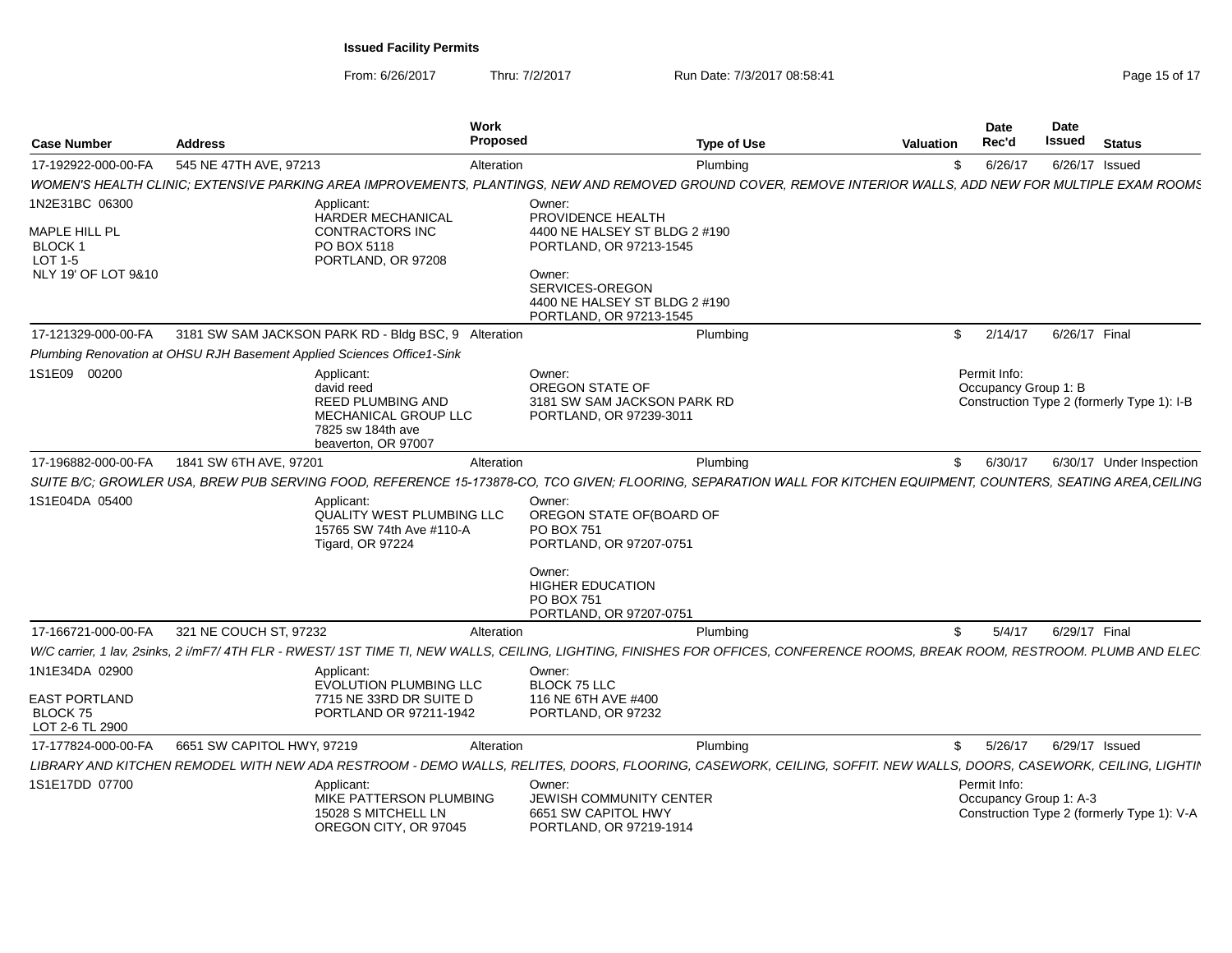From: 6/26/2017Thru: 7/2/2017 **Run Date: 7/3/2017 08:58:41 Run Date: 7/3/2017 08:58:41** Page 15 of 17

| <b>Case Number</b>                                                    | <b>Address</b>                                                                                                                                                                | Work<br>Proposed                 |                                                                                                            | <b>Type of Use</b> | Valuation    | Date<br>Rec'd                                                                        | Date<br><b>Issued</b> | <b>Status</b>            |  |
|-----------------------------------------------------------------------|-------------------------------------------------------------------------------------------------------------------------------------------------------------------------------|----------------------------------|------------------------------------------------------------------------------------------------------------|--------------------|--------------|--------------------------------------------------------------------------------------|-----------------------|--------------------------|--|
| 17-192922-000-00-FA                                                   | 545 NE 47TH AVE, 97213                                                                                                                                                        | Alteration                       |                                                                                                            | Plumbing           | \$           | 6/26/17                                                                              |                       | 6/26/17 Issued           |  |
|                                                                       | WOMEN'S HEALTH CLINIC; EXTENSIVE PARKING AREA IMPROVEMENTS, PLANTINGS, NEW AND REMOVED GROUND COVER, REMOVE INTERIOR WALLS, ADD NEW FOR MULTIPLE EXAM ROOMS                   |                                  |                                                                                                            |                    |              |                                                                                      |                       |                          |  |
| 1N2E31BC 06300                                                        | Applicant:                                                                                                                                                                    |                                  | Owner:                                                                                                     |                    |              |                                                                                      |                       |                          |  |
| MAPLE HILL PL<br>BLOCK <sub>1</sub><br>LOT 1-5<br>NLY 19' OF LOT 9&10 | <b>HARDER MECHANICAL</b><br><b>CONTRACTORS INC</b><br>PO BOX 5118<br>PORTLAND, OR 97208                                                                                       |                                  | PROVIDENCE HEALTH<br>4400 NE HALSEY ST BLDG 2 #190<br>PORTLAND, OR 97213-1545<br>Owner:<br>SERVICES-OREGON |                    |              |                                                                                      |                       |                          |  |
|                                                                       |                                                                                                                                                                               |                                  | 4400 NE HALSEY ST BLDG 2 #190<br>PORTLAND, OR 97213-1545                                                   |                    |              |                                                                                      |                       |                          |  |
| 17-121329-000-00-FA                                                   | 3181 SW SAM JACKSON PARK RD - Bldg BSC, 9 Alteration                                                                                                                          |                                  |                                                                                                            | Plumbing           | \$           | 2/14/17                                                                              | 6/26/17 Final         |                          |  |
|                                                                       | Plumbing Renovation at OHSU RJH Basement Applied Sciences Office1-Sink                                                                                                        |                                  |                                                                                                            |                    |              |                                                                                      |                       |                          |  |
| 1S1E09 00200                                                          | Applicant:<br>david reed<br><b>REED PLUMBING AND</b><br>MECHANICAL GROUP LLC<br>7825 sw 184th ave<br>beaverton, OR 97007                                                      |                                  | Owner:<br>OREGON STATE OF<br>3181 SW SAM JACKSON PARK RD<br>PORTLAND, OR 97239-3011                        |                    |              | Permit Info:<br>Occupancy Group 1: B<br>Construction Type 2 (formerly Type 1): I-B   |                       |                          |  |
| 17-196882-000-00-FA                                                   | 1841 SW 6TH AVE, 97201                                                                                                                                                        | Alteration                       |                                                                                                            | Plumbing           | \$           | 6/30/17                                                                              |                       | 6/30/17 Under Inspection |  |
|                                                                       | SUITE B/C; GROWLER USA, BREW PUB SERVING FOOD, REFERENCE 15-173878-CO, TCO GIVEN; FLOORING, SEPARATION WALL FOR KITCHEN EQUIPMENT, COUNTERS, SEATING AREA,CEILING             |                                  |                                                                                                            |                    |              |                                                                                      |                       |                          |  |
| 1S1E04DA 05400                                                        | Applicant:<br>15765 SW 74th Ave #110-A<br><b>Tigard, OR 97224</b>                                                                                                             | <b>QUALITY WEST PLUMBING LLC</b> | Owner:<br>OREGON STATE OF(BOARD OF<br><b>PO BOX 751</b><br>PORTLAND, OR 97207-0751                         |                    |              |                                                                                      |                       |                          |  |
|                                                                       |                                                                                                                                                                               |                                  | Owner:<br><b>HIGHER EDUCATION</b><br>PO BOX 751<br>PORTLAND, OR 97207-0751                                 |                    |              |                                                                                      |                       |                          |  |
| 17-166721-000-00-FA                                                   | 321 NE COUCH ST, 97232                                                                                                                                                        | Alteration                       |                                                                                                            | Plumbing           | \$           | 5/4/17                                                                               | 6/29/17 Final         |                          |  |
|                                                                       | W/C carrier. 1 lav. 2sinks. 2 i/mF7/ 4TH FLR - RWEST/ 1ST TIME TI. NEW WALLS. CEILING. LIGHTING. FINISHES FOR OFFICES. CONFERENCE ROOMS. BREAK ROOM. RESTROOM. PLUMB AND ELEC |                                  |                                                                                                            |                    |              |                                                                                      |                       |                          |  |
| 1N1E34DA 02900                                                        | Applicant:<br><b>EVOLUTION PLUMBING LLC</b>                                                                                                                                   |                                  | Owner:<br>BLOCK 75 LLC                                                                                     |                    |              |                                                                                      |                       |                          |  |
| <b>EAST PORTLAND</b><br><b>BLOCK 75</b><br>LOT 2-6 TL 2900            | 7715 NE 33RD DR SUITE D<br>PORTLAND OR 97211-1942                                                                                                                             |                                  | 116 NE 6TH AVE #400<br>PORTLAND, OR 97232                                                                  |                    |              |                                                                                      |                       |                          |  |
| 17-177824-000-00-FA                                                   | 6651 SW CAPITOL HWY, 97219                                                                                                                                                    | Alteration                       |                                                                                                            | Plumbing           | $\mathbb{S}$ | 5/26/17                                                                              |                       | 6/29/17 Issued           |  |
|                                                                       | LIBRARY AND KITCHEN REMODEL WITH NEW ADA RESTROOM - DEMO WALLS, RELITES, DOORS, FLOORING, CASEWORK, CEILING, SOFFIT. NEW WALLS, DOORS, CASEWORK, CEILING, LIGHTII             |                                  |                                                                                                            |                    |              |                                                                                      |                       |                          |  |
| 1S1E17DD 07700                                                        | Applicant:<br>MIKE PATTERSON PLUMBING<br>15028 S MITCHELL LN<br>OREGON CITY, OR 97045                                                                                         |                                  | Owner:<br>JEWISH COMMUNITY CENTER<br>6651 SW CAPITOL HWY<br>PORTLAND, OR 97219-1914                        |                    |              | Permit Info:<br>Occupancy Group 1: A-3<br>Construction Type 2 (formerly Type 1): V-A |                       |                          |  |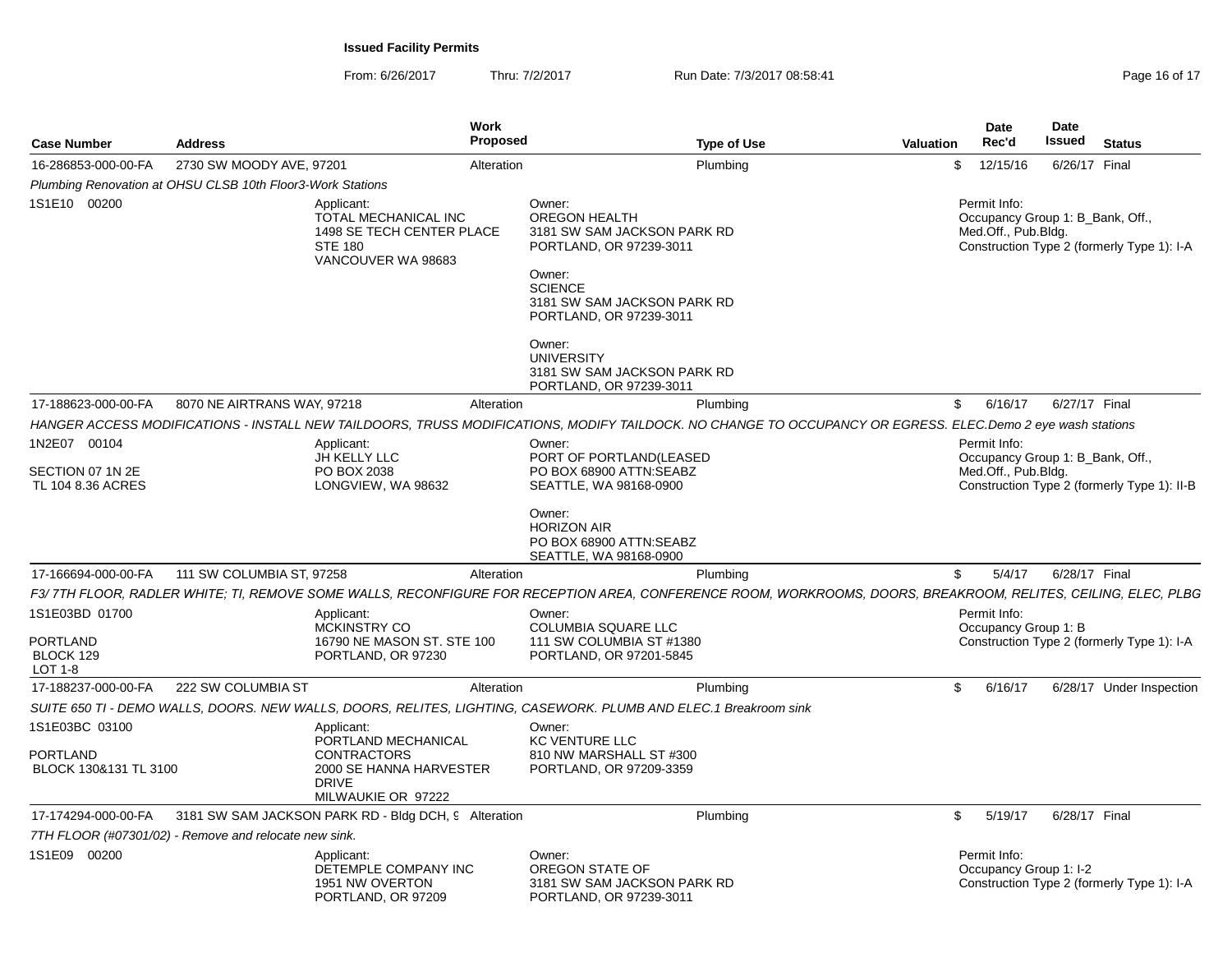From: 6/26/2017Thru: 7/2/2017 **Run Date: 7/3/2017 08:58:41 Run Date: 7/3/2017 08:58:41** Page 16 of 17

|                                          |                                                                                                         | <b>Work</b><br><b>Proposed</b>                                                      |                                                                                                                                                                                |           | Date<br>Rec'd                                                           | <b>Date</b><br><b>Issued</b> |                                             |  |  |
|------------------------------------------|---------------------------------------------------------------------------------------------------------|-------------------------------------------------------------------------------------|--------------------------------------------------------------------------------------------------------------------------------------------------------------------------------|-----------|-------------------------------------------------------------------------|------------------------------|---------------------------------------------|--|--|
| <b>Case Number</b>                       | <b>Address</b>                                                                                          |                                                                                     | <b>Type of Use</b>                                                                                                                                                             | Valuation |                                                                         |                              | <b>Status</b>                               |  |  |
| 16-286853-000-00-FA                      | 2730 SW MOODY AVE, 97201                                                                                | Alteration                                                                          | Plumbing                                                                                                                                                                       | \$        | 12/15/16                                                                | 6/26/17 Final                |                                             |  |  |
|                                          | Plumbing Renovation at OHSU CLSB 10th Floor3-Work Stations                                              |                                                                                     |                                                                                                                                                                                |           |                                                                         |                              |                                             |  |  |
| 1S1E10 00200                             | Applicant:<br>TOTAL MECHANICAL INC<br>1498 SE TECH CENTER PLACE<br><b>STE 180</b><br>VANCOUVER WA 98683 |                                                                                     | Owner:<br><b>OREGON HEALTH</b><br>3181 SW SAM JACKSON PARK RD<br>PORTLAND, OR 97239-3011<br>Owner:<br><b>SCIENCE</b><br>3181 SW SAM JACKSON PARK RD<br>PORTLAND, OR 97239-3011 |           | Permit Info:<br>Occupancy Group 1: B Bank, Off.,<br>Med.Off., Pub.Bldg. |                              | Construction Type 2 (formerly Type 1): I-A  |  |  |
|                                          |                                                                                                         |                                                                                     | Owner:<br><b>UNIVERSITY</b><br>3181 SW SAM JACKSON PARK RD<br>PORTLAND, OR 97239-3011                                                                                          |           |                                                                         |                              |                                             |  |  |
| 17-188623-000-00-FA                      | 8070 NE AIRTRANS WAY, 97218                                                                             | Alteration                                                                          | Plumbing                                                                                                                                                                       | \$        | 6/16/17                                                                 | 6/27/17 Final                |                                             |  |  |
|                                          |                                                                                                         |                                                                                     | HANGER ACCESS MODIFICATIONS - INSTALL NEW TAILDOORS, TRUSS MODIFICATIONS, MODIFY TAILDOCK. NO CHANGE TO OCCUPANCY OR EGRESS. ELEC.Demo 2 eye wash stations                     |           |                                                                         |                              |                                             |  |  |
| 1N2E07 00104                             |                                                                                                         | Applicant:<br>JH KELLY LLC                                                          | Owner:<br>PORT OF PORTLAND(LEASED                                                                                                                                              |           | Permit Info:<br>Occupancy Group 1: B_Bank, Off.,                        |                              |                                             |  |  |
| SECTION 07 1N 2E                         |                                                                                                         | PO BOX 2038                                                                         | PO BOX 68900 ATTN:SEABZ                                                                                                                                                        |           | Med.Off., Pub.Bldg.                                                     |                              |                                             |  |  |
| TL 104 8.36 ACRES                        |                                                                                                         | LONGVIEW, WA 98632                                                                  | SEATTLE, WA 98168-0900                                                                                                                                                         |           |                                                                         |                              | Construction Type 2 (formerly Type 1): II-B |  |  |
|                                          |                                                                                                         |                                                                                     | Owner:<br><b>HORIZON AIR</b><br>PO BOX 68900 ATTN:SEABZ<br>SEATTLE, WA 98168-0900                                                                                              |           |                                                                         |                              |                                             |  |  |
| 17-166694-000-00-FA                      | 111 SW COLUMBIA ST, 97258                                                                               | Alteration                                                                          | Plumbing                                                                                                                                                                       | \$        | 5/4/17                                                                  | 6/28/17 Final                |                                             |  |  |
|                                          |                                                                                                         |                                                                                     | F3/7TH FLOOR, RADLER WHITE; TI, REMOVE SOME WALLS, RECONFIGURE FOR RECEPTION AREA, CONFERENCE ROOM, WORKROOMS, DOORS, BREAKROOM, RELITES, CEILING, ELEC, PLBG                  |           |                                                                         |                              |                                             |  |  |
| 1S1E03BD 01700                           |                                                                                                         | Applicant:<br><b>MCKINSTRY CO</b>                                                   | Owner:<br><b>COLUMBIA SQUARE LLC</b>                                                                                                                                           |           | Permit Info:<br>Occupancy Group 1: B                                    |                              |                                             |  |  |
| PORTLAND<br>BLOCK 129<br>LOT 1-8         |                                                                                                         | 16790 NE MASON ST. STE 100<br>PORTLAND, OR 97230                                    | 111 SW COLUMBIA ST #1380<br>PORTLAND, OR 97201-5845                                                                                                                            |           | Construction Type 2 (formerly Type 1): I-A                              |                              |                                             |  |  |
| 17-188237-000-00-FA                      | 222 SW COLUMBIA ST                                                                                      | Alteration                                                                          | Plumbing                                                                                                                                                                       | \$        | 6/16/17                                                                 |                              | 6/28/17 Under Inspection                    |  |  |
|                                          |                                                                                                         |                                                                                     | SUITE 650 TI - DEMO WALLS, DOORS. NEW WALLS, DOORS, RELITES, LIGHTING, CASEWORK. PLUMB AND ELEC.1 Breakroom sink                                                               |           |                                                                         |                              |                                             |  |  |
| 1S1E03BC 03100                           |                                                                                                         | Applicant:<br>PORTLAND MECHANICAL                                                   | Owner:<br><b>KC VENTURE LLC</b>                                                                                                                                                |           |                                                                         |                              |                                             |  |  |
| <b>PORTLAND</b><br>BLOCK 130&131 TL 3100 |                                                                                                         | <b>CONTRACTORS</b><br>2000 SE HANNA HARVESTER<br><b>DRIVE</b><br>MILWAUKIE OR 97222 | 810 NW MARSHALL ST #300<br>PORTLAND, OR 97209-3359                                                                                                                             |           |                                                                         |                              |                                             |  |  |
| 17-174294-000-00-FA                      |                                                                                                         | 3181 SW SAM JACKSON PARK RD - Bldg DCH, 9 Alteration                                | Plumbing                                                                                                                                                                       | \$        | 5/19/17                                                                 | 6/28/17 Final                |                                             |  |  |
|                                          | 7TH FLOOR (#07301/02) - Remove and relocate new sink.                                                   |                                                                                     |                                                                                                                                                                                |           |                                                                         |                              |                                             |  |  |
| 1S1E09 00200                             |                                                                                                         | Applicant:<br>DETEMPLE COMPANY INC<br>1951 NW OVERTON<br>PORTLAND, OR 97209         | Owner:<br>OREGON STATE OF<br>3181 SW SAM JACKSON PARK RD<br>PORTLAND, OR 97239-3011                                                                                            |           | Permit Info:<br>Occupancy Group 1: I-2                                  |                              | Construction Type 2 (formerly Type 1): I-A  |  |  |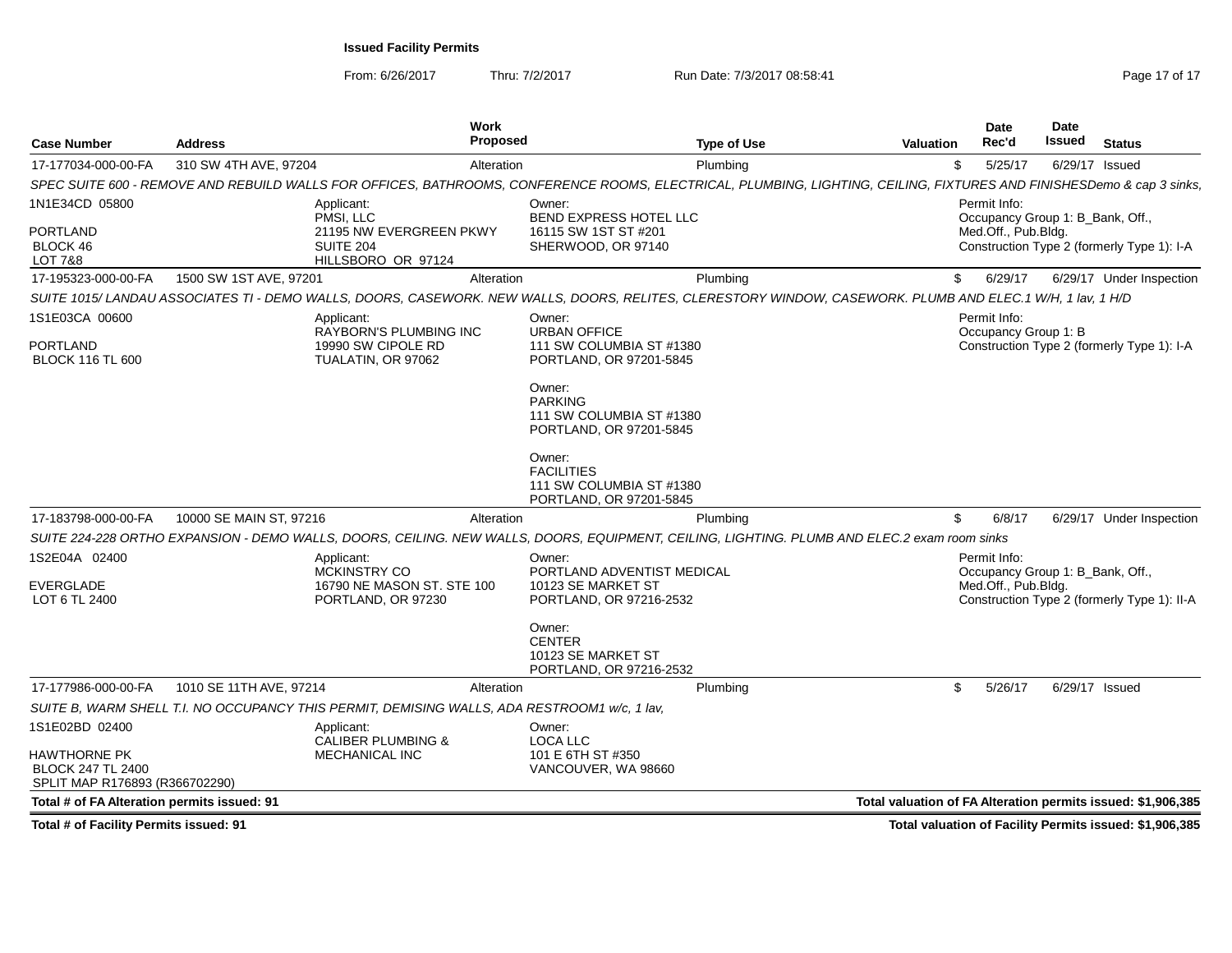From: 6/26/2017

Thru: 7/2/2017 **Run Date: 7/3/2017 08:58:41** Page 17 of 17

| <b>Case Number</b>                                                                | <b>Address</b>          | Work<br>Proposed                                                                             | <b>Type of Use</b>                                                                                                                                                    | Valuation                                                    | Date<br>Rec'd                                    | Date<br>Issued | <b>Status</b>                               |
|-----------------------------------------------------------------------------------|-------------------------|----------------------------------------------------------------------------------------------|-----------------------------------------------------------------------------------------------------------------------------------------------------------------------|--------------------------------------------------------------|--------------------------------------------------|----------------|---------------------------------------------|
| 17-177034-000-00-FA                                                               | 310 SW 4TH AVE, 97204   | Alteration                                                                                   | Plumbing                                                                                                                                                              | \$                                                           | 5/25/17                                          |                | 6/29/17 Issued                              |
|                                                                                   |                         |                                                                                              | SPEC SUITE 600 - REMOVE AND REBUILD WALLS FOR OFFICES, BATHROOMS, CONFERENCE ROOMS, ELECTRICAL, PLUMBING, LIGHTING, CEILING, FIXTURES AND FINISHESDemo & cap 3 sinks, |                                                              |                                                  |                |                                             |
| 1N1E34CD 05800                                                                    |                         | Applicant:<br>PMSI, LLC                                                                      | Owner:<br>BEND EXPRESS HOTEL LLC                                                                                                                                      |                                                              | Permit Info:<br>Occupancy Group 1: B_Bank, Off., |                |                                             |
| PORTLAND<br>BLOCK 46<br><b>LOT 7&amp;8</b>                                        |                         | 21195 NW EVERGREEN PKWY<br><b>SUITE 204</b><br>HILLSBORO OR 97124                            | 16115 SW 1ST ST #201<br>SHERWOOD, OR 97140                                                                                                                            |                                                              | Med.Off., Pub.Bldg.                              |                | Construction Type 2 (formerly Type 1): I-A  |
| 17-195323-000-00-FA                                                               | 1500 SW 1ST AVE, 97201  | Alteration                                                                                   | Plumbing                                                                                                                                                              | \$                                                           | 6/29/17                                          |                | 6/29/17 Under Inspection                    |
|                                                                                   |                         |                                                                                              | SUITE 1015/LANDAU ASSOCIATES TI - DEMO WALLS, DOORS, CASEWORK. NEW WALLS, DOORS, RELITES, CLERESTORY WINDOW, CASEWORK. PLUMB AND ELEC.1 W/H, 1 lav, 1 H/D             |                                                              |                                                  |                |                                             |
| 1S1E03CA 00600                                                                    |                         | Applicant:<br><b>RAYBORN'S PLUMBING INC</b>                                                  | Owner:<br><b>URBAN OFFICE</b>                                                                                                                                         |                                                              | Permit Info:<br>Occupancy Group 1: B             |                |                                             |
| PORTLAND<br><b>BLOCK 116 TL 600</b>                                               |                         | 19990 SW CIPOLE RD<br>TUALATIN, OR 97062                                                     | 111 SW COLUMBIA ST #1380<br>PORTLAND, OR 97201-5845                                                                                                                   |                                                              |                                                  |                | Construction Type 2 (formerly Type 1): I-A  |
|                                                                                   |                         |                                                                                              | Owner:<br><b>PARKING</b><br>111 SW COLUMBIA ST #1380<br>PORTLAND, OR 97201-5845                                                                                       |                                                              |                                                  |                |                                             |
|                                                                                   |                         |                                                                                              | Owner:<br><b>FACILITIES</b><br>111 SW COLUMBIA ST #1380<br>PORTLAND, OR 97201-5845                                                                                    |                                                              |                                                  |                |                                             |
| 17-183798-000-00-FA                                                               | 10000 SE MAIN ST, 97216 | Alteration                                                                                   | Plumbing                                                                                                                                                              | \$                                                           | 6/8/17                                           |                | 6/29/17 Under Inspection                    |
|                                                                                   |                         |                                                                                              | SUITE 224-228 ORTHO EXPANSION - DEMO WALLS, DOORS, CEILING. NEW WALLS, DOORS, EQUIPMENT, CEILING, LIGHTING. PLUMB AND ELEC.2 exam room sinks                          |                                                              |                                                  |                |                                             |
| 1S2E04A 02400                                                                     |                         | Applicant:<br><b>MCKINSTRY CO</b>                                                            | Owner:<br>PORTLAND ADVENTIST MEDICAL                                                                                                                                  |                                                              | Permit Info:<br>Occupancy Group 1: B Bank, Off., |                |                                             |
| EVERGLADE<br>LOT 6 TL 2400                                                        |                         | 16790 NE MASON ST. STE 100<br>PORTLAND, OR 97230                                             | 10123 SE MARKET ST<br>PORTLAND, OR 97216-2532                                                                                                                         |                                                              | Med.Off., Pub.Bldg.                              |                | Construction Type 2 (formerly Type 1): II-A |
|                                                                                   |                         |                                                                                              | Owner:<br><b>CENTER</b><br>10123 SE MARKET ST<br>PORTLAND, OR 97216-2532                                                                                              |                                                              |                                                  |                |                                             |
| 17-177986-000-00-FA                                                               | 1010 SE 11TH AVE, 97214 | Alteration                                                                                   | Plumbing                                                                                                                                                              | \$                                                           | 5/26/17                                          |                | 6/29/17 Issued                              |
|                                                                                   |                         | SUITE B, WARM SHELL T.I. NO OCCUPANCY THIS PERMIT, DEMISING WALLS, ADA RESTROOM1 w/c, 1 lav, |                                                                                                                                                                       |                                                              |                                                  |                |                                             |
| 1S1E02BD 02400                                                                    |                         | Applicant:<br><b>CALIBER PLUMBING &amp;</b>                                                  | Owner:<br>LOCA LLC                                                                                                                                                    |                                                              |                                                  |                |                                             |
| <b>HAWTHORNE PK</b><br><b>BLOCK 247 TL 2400</b><br>SPLIT MAP R176893 (R366702290) |                         | <b>MECHANICAL INC</b>                                                                        | 101 E 6TH ST #350<br>VANCOUVER, WA 98660                                                                                                                              |                                                              |                                                  |                |                                             |
| Total # of FA Alteration permits issued: 91                                       |                         |                                                                                              |                                                                                                                                                                       | Total valuation of FA Alteration permits issued: \$1,906,385 |                                                  |                |                                             |
|                                                                                   |                         |                                                                                              |                                                                                                                                                                       |                                                              |                                                  |                |                                             |

**Total # of Facility Permits issued: 91**

**Total valuation of Facility Permits issued: \$1,906,385**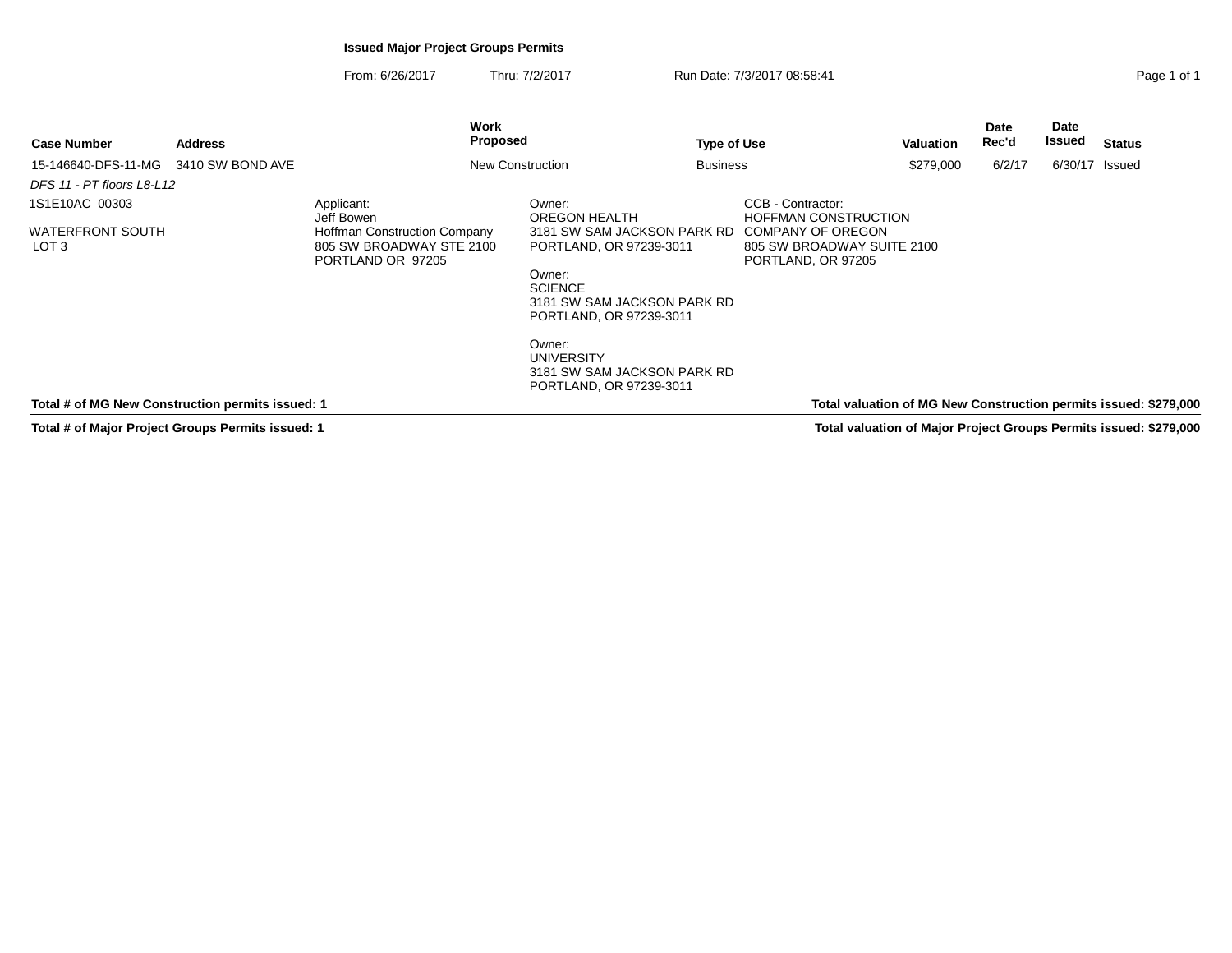## **Issued Major Project Groups Permits**

From: 6/26/2017Thru: 7/2/2017 Run Date: 7/3/2017 08:58:41 Page 1 of 1

| <b>Address</b>     | Work<br>Proposed                                                                                                 |                                                                                   | <b>Type of Use</b> |                                                                                                                           | <b>Valuation</b> | Date<br>Rec'd | <b>Date</b><br>Issued | <b>Status</b> |
|--------------------|------------------------------------------------------------------------------------------------------------------|-----------------------------------------------------------------------------------|--------------------|---------------------------------------------------------------------------------------------------------------------------|------------------|---------------|-----------------------|---------------|
| G 3410 SW BOND AVE |                                                                                                                  | New Construction                                                                  | <b>Business</b>    |                                                                                                                           | \$279,000        | 6/2/17        | 6/30/17 Issued        |               |
| -L 12              |                                                                                                                  |                                                                                   |                    |                                                                                                                           |                  |               |                       |               |
| гн                 | Applicant:<br>Jeff Bowen<br><b>Hoffman Construction Company</b><br>805 SW BROADWAY STE 2100<br>PORTLAND OR 97205 | Owner:<br>OREGON HEALTH<br>3181 SW SAM JACKSON PARK RD<br>PORTLAND, OR 97239-3011 |                    | CCB - Contractor:<br><b>HOFFMAN CONSTRUCTION</b><br>COMPANY OF OREGON<br>805 SW BROADWAY SUITE 2100<br>PORTLAND, OR 97205 |                  |               |                       |               |

Owner: SCIENCE 3181 SW SAM JACKSON PARK RDPORTLAND, OR 97239-3011

Owner: UNIVERSITY 3181 SW SAM JACKSON PARK RDPORTLAND, OR 97239-3011

**Total # of MG New Construction permits issued: 1**

15-146640-DFS-11-MG

**Case Number**

LOT 3

DFS 11 - PT floors L8-L121S1E10AC 00303

WATERFRONT SOUTH

**Total # of Major Project Groups Permits issued: 1**

 **Total valuation of MG New Construction permits issued: \$279,000 Total valuation of Major Project Groups Permits issued: \$279,000**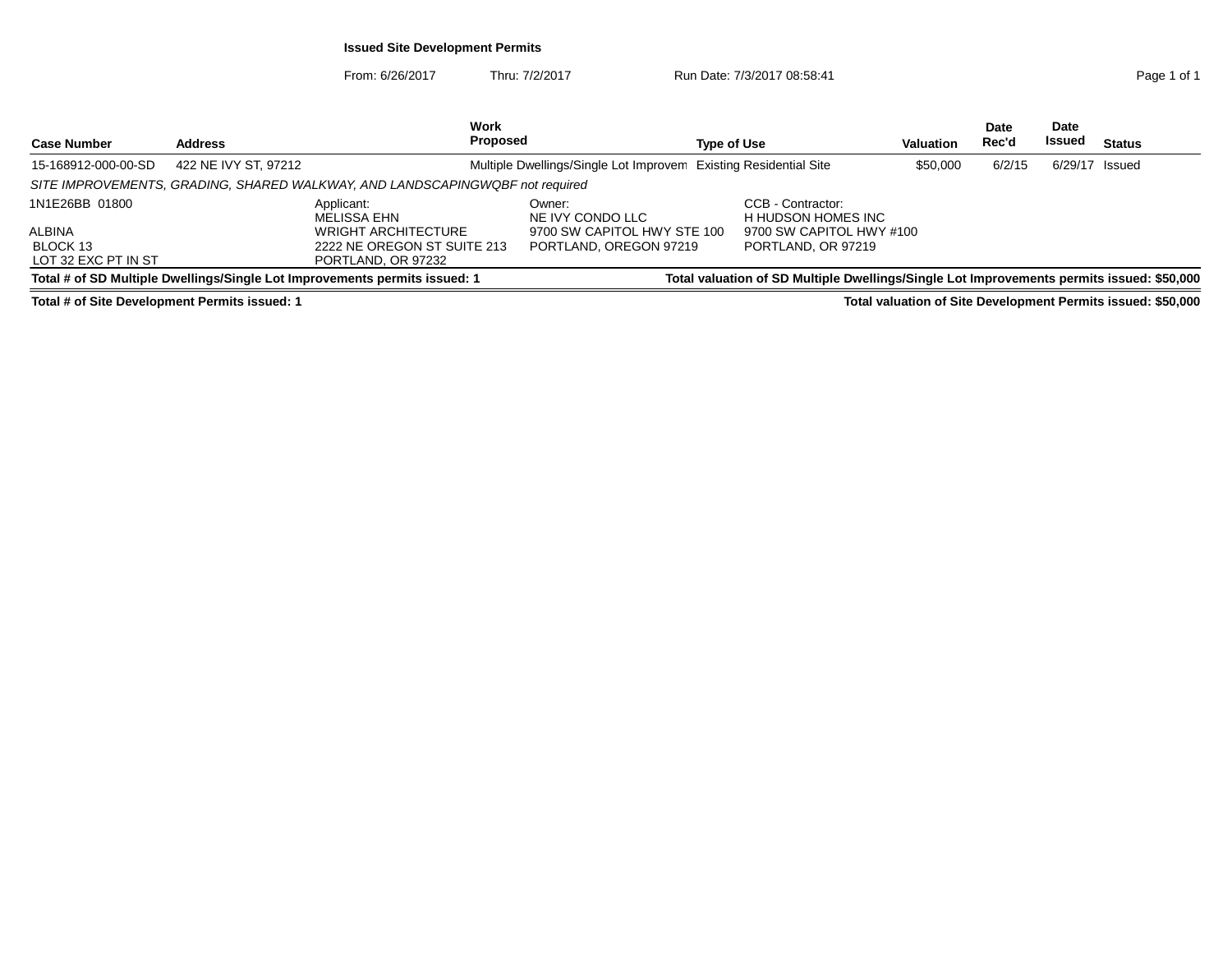## **Issued Site Development Permits**

From: 6/26/2017Thru: 7/2/2017 **Run Date: 7/3/2017 08:58:41 Page 1 of 1 Page 1 of 1** 

| <b>Case Number</b>  | <b>Address</b>                                                               | Work<br><b>Proposed</b>                               | <b>Type of Use</b>                                                                        | Valuation                | Date<br>Rec'd | <b>Date</b><br>Issued | <b>Status</b> |  |  |  |
|---------------------|------------------------------------------------------------------------------|-------------------------------------------------------|-------------------------------------------------------------------------------------------|--------------------------|---------------|-----------------------|---------------|--|--|--|
| 15-168912-000-00-SD | 422 NE IVY ST, 97212                                                         |                                                       | Multiple Dwellings/Single Lot Improvem Existing Residential Site                          | \$50,000                 | 6/2/15        | $6/29/17$ Issued      |               |  |  |  |
|                     | SITE IMPROVEMENTS, GRADING, SHARED WALKWAY, AND LANDSCAPINGWQBF not required |                                                       |                                                                                           |                          |               |                       |               |  |  |  |
| 1N1E26BB 01800      | Applicant:<br><b>MELISSA EHN</b>                                             | Owner:<br>NE IVY CONDO LLC                            | CCB - Contractor:<br>H HUDSON HOMES INC                                                   |                          |               |                       |               |  |  |  |
| ALBINA              | <b>WRIGHT ARCHITECTURE</b>                                                   |                                                       | 9700 SW CAPITOL HWY STE 100                                                               | 9700 SW CAPITOL HWY #100 |               |                       |               |  |  |  |
| BLOCK 13            |                                                                              | 2222 NE OREGON ST SUITE 213<br>PORTLAND, OREGON 97219 | PORTLAND, OR 97219                                                                        |                          |               |                       |               |  |  |  |
| LOT 32 EXC PT IN ST | PORTLAND, OR 97232                                                           |                                                       |                                                                                           |                          |               |                       |               |  |  |  |
|                     | Total # of SD Multiple Dwellings/Single Lot Improvements permits issued: 1   |                                                       | Total valuation of SD Multiple Dwellings/Single Lot Improvements permits issued: \$50,000 |                          |               |                       |               |  |  |  |

**Total # of Site Development Permits issued: 1**

**Total valuation of Site Development Permits issued: \$50,000**